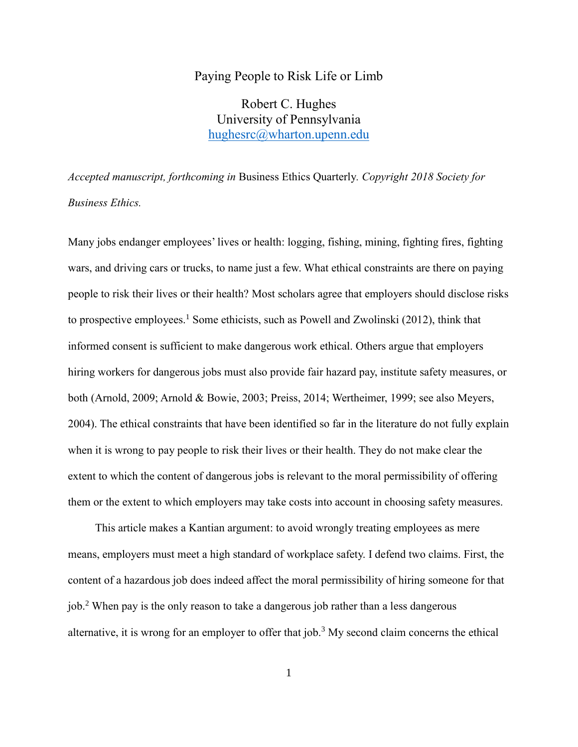### Paying People to Risk Life or Limb

Robert C. Hughes University of Pennsylvania [hughesrc@wharton.upenn.edu](mailto:hughesrc@wharton.upenn.edu)

*Accepted manuscript, forthcoming in* Business Ethics Quarterly*. Copyright 2018 Society for Business Ethics.*

Many jobs endanger employees' lives or health: logging, fishing, mining, fighting fires, fighting wars, and driving cars or trucks, to name just a few. What ethical constraints are there on paying people to risk their lives or their health? Most scholars agree that employers should disclose risks to prospective employees.<sup>1</sup> Some ethicists, such as Powell and Zwolinski (2012), think that informed consent is sufficient to make dangerous work ethical. Others argue that employers hiring workers for dangerous jobs must also provide fair hazard pay, institute safety measures, or both (Arnold, 2009; Arnold & Bowie, 2003; Preiss, 2014; Wertheimer, 1999; see also Meyers, 2004). The ethical constraints that have been identified so far in the literature do not fully explain when it is wrong to pay people to risk their lives or their health. They do not make clear the extent to which the content of dangerous jobs is relevant to the moral permissibility of offering them or the extent to which employers may take costs into account in choosing safety measures.

This article makes a Kantian argument: to avoid wrongly treating employees as mere means, employers must meet a high standard of workplace safety. I defend two claims. First, the content of a hazardous job does indeed affect the moral permissibility of hiring someone for that job.<sup>2</sup> When pay is the only reason to take a dangerous job rather than a less dangerous alternative, it is wrong for an employer to offer that job.<sup>3</sup> My second claim concerns the ethical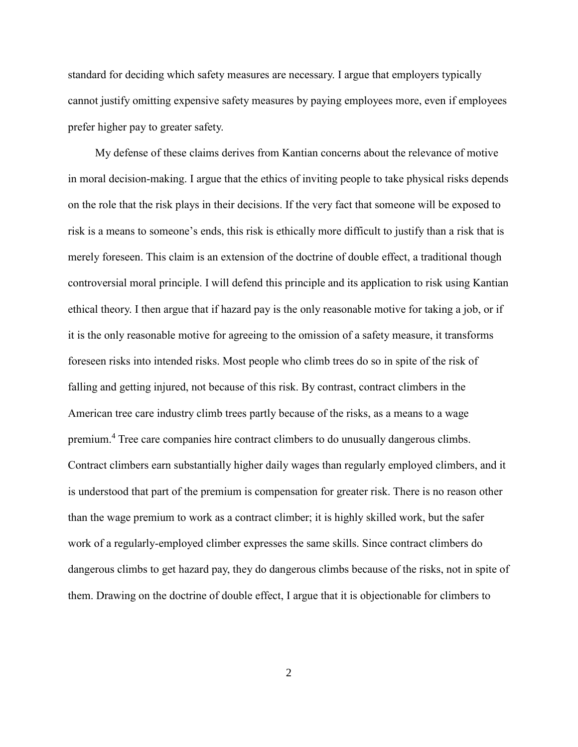standard for deciding which safety measures are necessary. I argue that employers typically cannot justify omitting expensive safety measures by paying employees more, even if employees prefer higher pay to greater safety.

My defense of these claims derives from Kantian concerns about the relevance of motive in moral decision-making. I argue that the ethics of inviting people to take physical risks depends on the role that the risk plays in their decisions. If the very fact that someone will be exposed to risk is a means to someone's ends, this risk is ethically more difficult to justify than a risk that is merely foreseen. This claim is an extension of the doctrine of double effect, a traditional though controversial moral principle. I will defend this principle and its application to risk using Kantian ethical theory. I then argue that if hazard pay is the only reasonable motive for taking a job, or if it is the only reasonable motive for agreeing to the omission of a safety measure, it transforms foreseen risks into intended risks. Most people who climb trees do so in spite of the risk of falling and getting injured, not because of this risk. By contrast, contract climbers in the American tree care industry climb trees partly because of the risks, as a means to a wage premium.<sup>4</sup> Tree care companies hire contract climbers to do unusually dangerous climbs. Contract climbers earn substantially higher daily wages than regularly employed climbers, and it is understood that part of the premium is compensation for greater risk. There is no reason other than the wage premium to work as a contract climber; it is highly skilled work, but the safer work of a regularly-employed climber expresses the same skills. Since contract climbers do dangerous climbs to get hazard pay, they do dangerous climbs because of the risks, not in spite of them. Drawing on the doctrine of double effect, I argue that it is objectionable for climbers to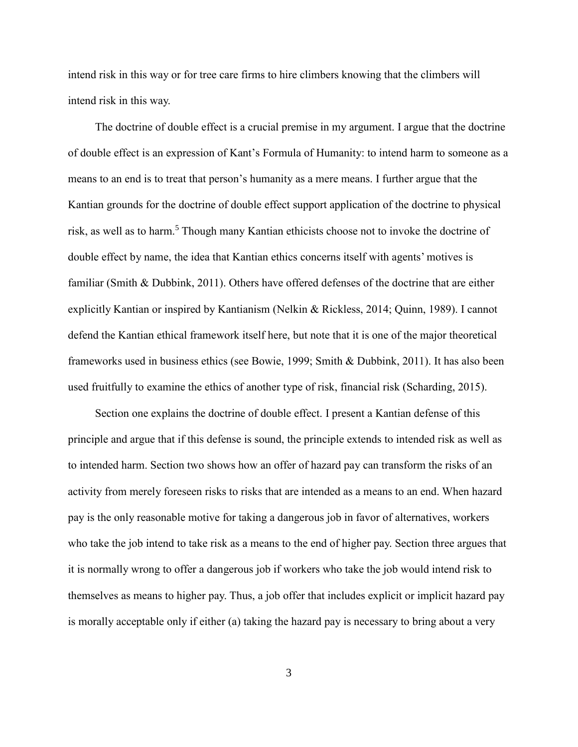intend risk in this way or for tree care firms to hire climbers knowing that the climbers will intend risk in this way.

The doctrine of double effect is a crucial premise in my argument. I argue that the doctrine of double effect is an expression of Kant's Formula of Humanity: to intend harm to someone as a means to an end is to treat that person's humanity as a mere means. I further argue that the Kantian grounds for the doctrine of double effect support application of the doctrine to physical risk, as well as to harm.<sup>5</sup> Though many Kantian ethicists choose not to invoke the doctrine of double effect by name, the idea that Kantian ethics concerns itself with agents' motives is familiar (Smith & Dubbink, 2011). Others have offered defenses of the doctrine that are either explicitly Kantian or inspired by Kantianism (Nelkin & Rickless, 2014; Quinn, 1989). I cannot defend the Kantian ethical framework itself here, but note that it is one of the major theoretical frameworks used in business ethics (see Bowie, 1999; Smith & Dubbink, 2011). It has also been used fruitfully to examine the ethics of another type of risk, financial risk (Scharding, 2015).

Section one explains the doctrine of double effect. I present a Kantian defense of this principle and argue that if this defense is sound, the principle extends to intended risk as well as to intended harm. Section two shows how an offer of hazard pay can transform the risks of an activity from merely foreseen risks to risks that are intended as a means to an end. When hazard pay is the only reasonable motive for taking a dangerous job in favor of alternatives, workers who take the job intend to take risk as a means to the end of higher pay. Section three argues that it is normally wrong to offer a dangerous job if workers who take the job would intend risk to themselves as means to higher pay. Thus, a job offer that includes explicit or implicit hazard pay is morally acceptable only if either (a) taking the hazard pay is necessary to bring about a very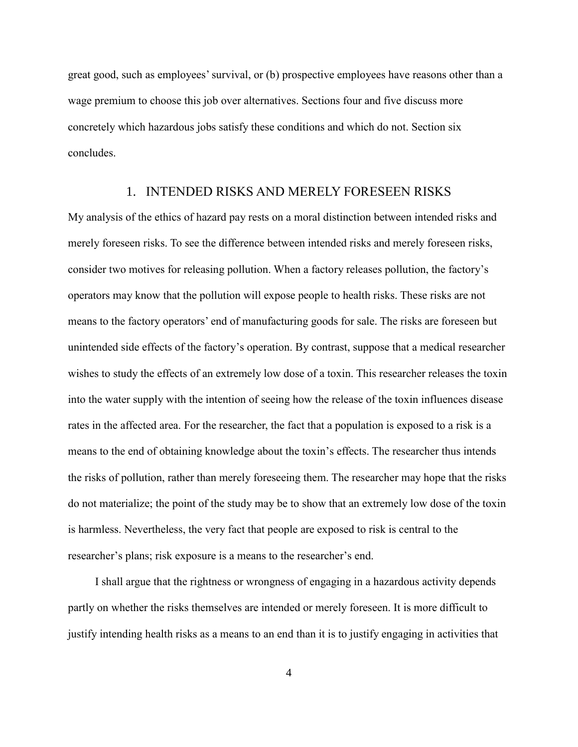great good, such as employees' survival, or (b) prospective employees have reasons other than a wage premium to choose this job over alternatives. Sections four and five discuss more concretely which hazardous jobs satisfy these conditions and which do not. Section six concludes.

## 1. INTENDED RISKS AND MERELY FORESEEN RISKS

My analysis of the ethics of hazard pay rests on a moral distinction between intended risks and merely foreseen risks. To see the difference between intended risks and merely foreseen risks, consider two motives for releasing pollution. When a factory releases pollution, the factory's operators may know that the pollution will expose people to health risks. These risks are not means to the factory operators' end of manufacturing goods for sale. The risks are foreseen but unintended side effects of the factory's operation. By contrast, suppose that a medical researcher wishes to study the effects of an extremely low dose of a toxin. This researcher releases the toxin into the water supply with the intention of seeing how the release of the toxin influences disease rates in the affected area. For the researcher, the fact that a population is exposed to a risk is a means to the end of obtaining knowledge about the toxin's effects. The researcher thus intends the risks of pollution, rather than merely foreseeing them. The researcher may hope that the risks do not materialize; the point of the study may be to show that an extremely low dose of the toxin is harmless. Nevertheless, the very fact that people are exposed to risk is central to the researcher's plans; risk exposure is a means to the researcher's end.

I shall argue that the rightness or wrongness of engaging in a hazardous activity depends partly on whether the risks themselves are intended or merely foreseen. It is more difficult to justify intending health risks as a means to an end than it is to justify engaging in activities that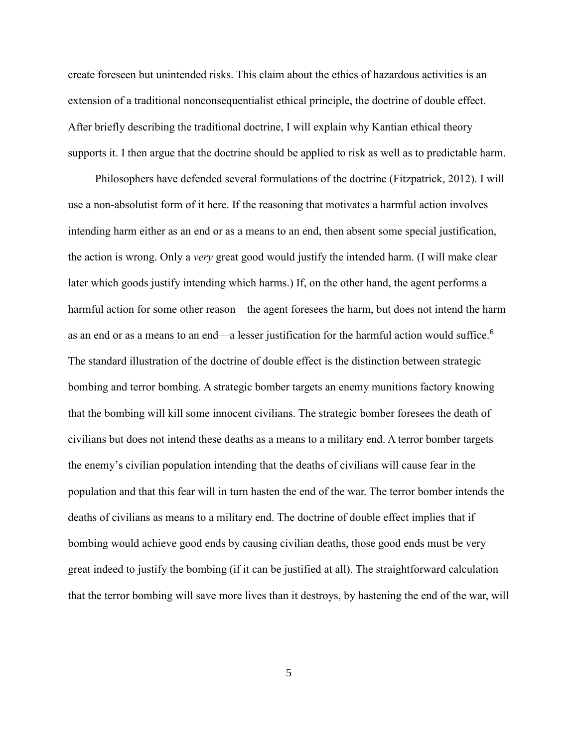create foreseen but unintended risks. This claim about the ethics of hazardous activities is an extension of a traditional nonconsequentialist ethical principle, the doctrine of double effect. After briefly describing the traditional doctrine, I will explain why Kantian ethical theory supports it. I then argue that the doctrine should be applied to risk as well as to predictable harm.

Philosophers have defended several formulations of the doctrine (Fitzpatrick, 2012). I will use a non-absolutist form of it here. If the reasoning that motivates a harmful action involves intending harm either as an end or as a means to an end, then absent some special justification, the action is wrong. Only a *very* great good would justify the intended harm. (I will make clear later which goods justify intending which harms.) If, on the other hand, the agent performs a harmful action for some other reason—the agent foresees the harm, but does not intend the harm as an end or as a means to an end—a lesser justification for the harmful action would suffice.<sup>6</sup> The standard illustration of the doctrine of double effect is the distinction between strategic bombing and terror bombing. A strategic bomber targets an enemy munitions factory knowing that the bombing will kill some innocent civilians. The strategic bomber foresees the death of civilians but does not intend these deaths as a means to a military end. A terror bomber targets the enemy's civilian population intending that the deaths of civilians will cause fear in the population and that this fear will in turn hasten the end of the war. The terror bomber intends the deaths of civilians as means to a military end. The doctrine of double effect implies that if bombing would achieve good ends by causing civilian deaths, those good ends must be very great indeed to justify the bombing (if it can be justified at all). The straightforward calculation that the terror bombing will save more lives than it destroys, by hastening the end of the war, will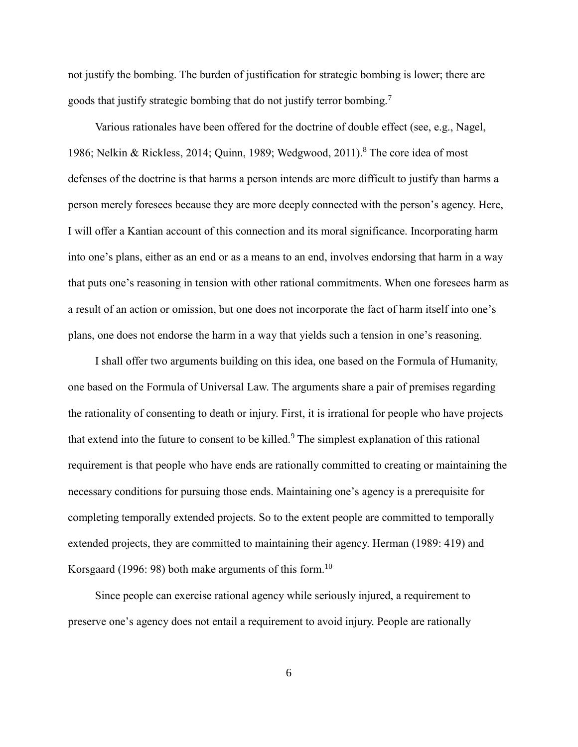not justify the bombing. The burden of justification for strategic bombing is lower; there are goods that justify strategic bombing that do not justify terror bombing.<sup>7</sup>

Various rationales have been offered for the doctrine of double effect (see, e.g., Nagel, 1986; Nelkin & Rickless, 2014; Quinn, 1989; Wedgwood, 2011).<sup>8</sup> The core idea of most defenses of the doctrine is that harms a person intends are more difficult to justify than harms a person merely foresees because they are more deeply connected with the person's agency. Here, I will offer a Kantian account of this connection and its moral significance. Incorporating harm into one's plans, either as an end or as a means to an end, involves endorsing that harm in a way that puts one's reasoning in tension with other rational commitments. When one foresees harm as a result of an action or omission, but one does not incorporate the fact of harm itself into one's plans, one does not endorse the harm in a way that yields such a tension in one's reasoning.

I shall offer two arguments building on this idea, one based on the Formula of Humanity, one based on the Formula of Universal Law. The arguments share a pair of premises regarding the rationality of consenting to death or injury. First, it is irrational for people who have projects that extend into the future to consent to be killed.<sup>9</sup> The simplest explanation of this rational requirement is that people who have ends are rationally committed to creating or maintaining the necessary conditions for pursuing those ends. Maintaining one's agency is a prerequisite for completing temporally extended projects. So to the extent people are committed to temporally extended projects, they are committed to maintaining their agency. Herman (1989: 419) and Korsgaard (1996: 98) both make arguments of this form.<sup>10</sup>

Since people can exercise rational agency while seriously injured, a requirement to preserve one's agency does not entail a requirement to avoid injury. People are rationally

6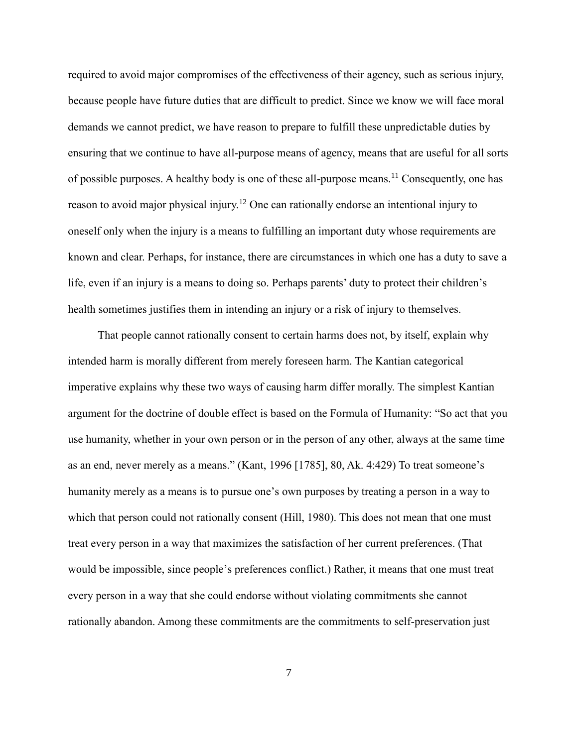required to avoid major compromises of the effectiveness of their agency, such as serious injury, because people have future duties that are difficult to predict. Since we know we will face moral demands we cannot predict, we have reason to prepare to fulfill these unpredictable duties by ensuring that we continue to have all-purpose means of agency, means that are useful for all sorts of possible purposes. A healthy body is one of these all-purpose means.<sup>11</sup> Consequently, one has reason to avoid major physical injury.<sup>12</sup> One can rationally endorse an intentional injury to oneself only when the injury is a means to fulfilling an important duty whose requirements are known and clear. Perhaps, for instance, there are circumstances in which one has a duty to save a life, even if an injury is a means to doing so. Perhaps parents' duty to protect their children's health sometimes justifies them in intending an injury or a risk of injury to themselves.

That people cannot rationally consent to certain harms does not, by itself, explain why intended harm is morally different from merely foreseen harm. The Kantian categorical imperative explains why these two ways of causing harm differ morally. The simplest Kantian argument for the doctrine of double effect is based on the Formula of Humanity: "So act that you use humanity, whether in your own person or in the person of any other, always at the same time as an end, never merely as a means." (Kant, 1996 [1785], 80, Ak. 4:429) To treat someone's humanity merely as a means is to pursue one's own purposes by treating a person in a way to which that person could not rationally consent *(Hill, 1980)*. This does not mean that one must treat every person in a way that maximizes the satisfaction of her current preferences. (That would be impossible, since people's preferences conflict.) Rather, it means that one must treat every person in a way that she could endorse without violating commitments she cannot rationally abandon. Among these commitments are the commitments to self-preservation just

7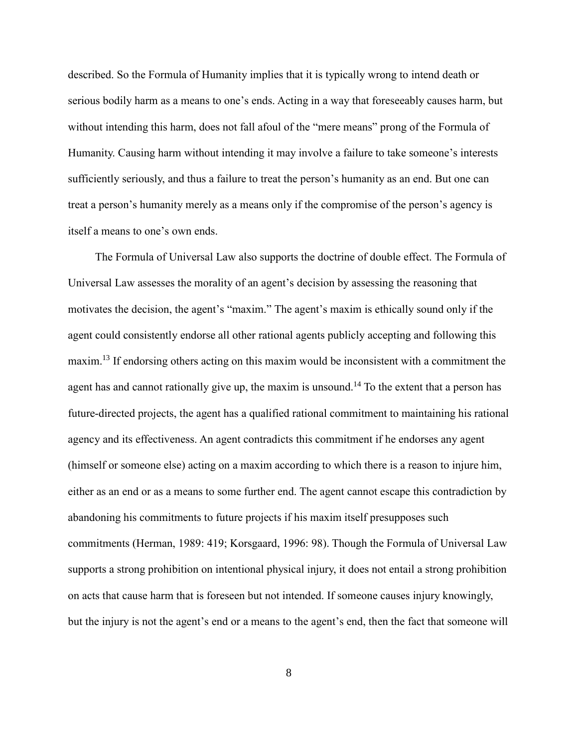described. So the Formula of Humanity implies that it is typically wrong to intend death or serious bodily harm as a means to one's ends. Acting in a way that foreseeably causes harm, but without intending this harm, does not fall afoul of the "mere means" prong of the Formula of Humanity. Causing harm without intending it may involve a failure to take someone's interests sufficiently seriously, and thus a failure to treat the person's humanity as an end. But one can treat a person's humanity merely as a means only if the compromise of the person's agency is itself a means to one's own ends.

The Formula of Universal Law also supports the doctrine of double effect. The Formula of Universal Law assesses the morality of an agent's decision by assessing the reasoning that motivates the decision, the agent's "maxim." The agent's maxim is ethically sound only if the agent could consistently endorse all other rational agents publicly accepting and following this maxim.<sup>13</sup> If endorsing others acting on this maxim would be inconsistent with a commitment the agent has and cannot rationally give up, the maxim is unsound.<sup>14</sup> To the extent that a person has future-directed projects, the agent has a qualified rational commitment to maintaining his rational agency and its effectiveness. An agent contradicts this commitment if he endorses any agent (himself or someone else) acting on a maxim according to which there is a reason to injure him, either as an end or as a means to some further end. The agent cannot escape this contradiction by abandoning his commitments to future projects if his maxim itself presupposes such commitments (Herman, 1989: 419; Korsgaard, 1996: 98). Though the Formula of Universal Law supports a strong prohibition on intentional physical injury, it does not entail a strong prohibition on acts that cause harm that is foreseen but not intended. If someone causes injury knowingly, but the injury is not the agent's end or a means to the agent's end, then the fact that someone will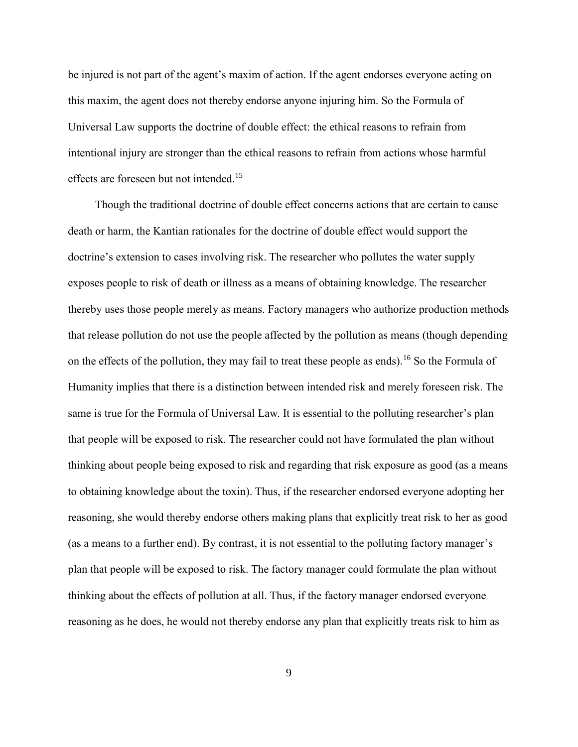be injured is not part of the agent's maxim of action. If the agent endorses everyone acting on this maxim, the agent does not thereby endorse anyone injuring him. So the Formula of Universal Law supports the doctrine of double effect: the ethical reasons to refrain from intentional injury are stronger than the ethical reasons to refrain from actions whose harmful effects are foreseen but not intended.<sup>15</sup>

Though the traditional doctrine of double effect concerns actions that are certain to cause death or harm, the Kantian rationales for the doctrine of double effect would support the doctrine's extension to cases involving risk. The researcher who pollutes the water supply exposes people to risk of death or illness as a means of obtaining knowledge. The researcher thereby uses those people merely as means. Factory managers who authorize production methods that release pollution do not use the people affected by the pollution as means (though depending on the effects of the pollution, they may fail to treat these people as ends).<sup>16</sup> So the Formula of Humanity implies that there is a distinction between intended risk and merely foreseen risk. The same is true for the Formula of Universal Law. It is essential to the polluting researcher's plan that people will be exposed to risk. The researcher could not have formulated the plan without thinking about people being exposed to risk and regarding that risk exposure as good (as a means to obtaining knowledge about the toxin). Thus, if the researcher endorsed everyone adopting her reasoning, she would thereby endorse others making plans that explicitly treat risk to her as good (as a means to a further end). By contrast, it is not essential to the polluting factory manager's plan that people will be exposed to risk. The factory manager could formulate the plan without thinking about the effects of pollution at all. Thus, if the factory manager endorsed everyone reasoning as he does, he would not thereby endorse any plan that explicitly treats risk to him as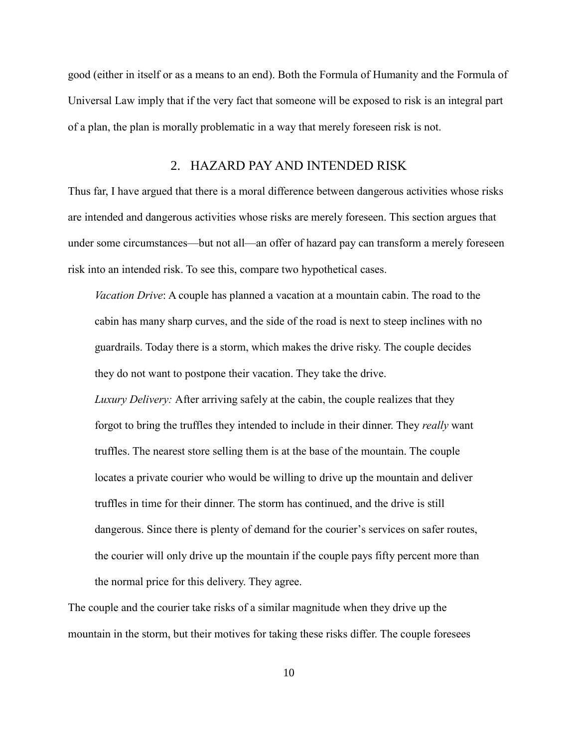good (either in itself or as a means to an end). Both the Formula of Humanity and the Formula of Universal Law imply that if the very fact that someone will be exposed to risk is an integral part of a plan, the plan is morally problematic in a way that merely foreseen risk is not.

## 2. HAZARD PAY AND INTENDED RISK

Thus far, I have argued that there is a moral difference between dangerous activities whose risks are intended and dangerous activities whose risks are merely foreseen. This section argues that under some circumstances—but not all—an offer of hazard pay can transform a merely foreseen risk into an intended risk. To see this, compare two hypothetical cases.

*Vacation Drive*: A couple has planned a vacation at a mountain cabin. The road to the cabin has many sharp curves, and the side of the road is next to steep inclines with no guardrails. Today there is a storm, which makes the drive risky. The couple decides they do not want to postpone their vacation. They take the drive.

*Luxury Delivery:* After arriving safely at the cabin, the couple realizes that they forgot to bring the truffles they intended to include in their dinner. They *really* want truffles. The nearest store selling them is at the base of the mountain. The couple locates a private courier who would be willing to drive up the mountain and deliver truffles in time for their dinner. The storm has continued, and the drive is still dangerous. Since there is plenty of demand for the courier's services on safer routes, the courier will only drive up the mountain if the couple pays fifty percent more than the normal price for this delivery. They agree.

The couple and the courier take risks of a similar magnitude when they drive up the mountain in the storm, but their motives for taking these risks differ. The couple foresees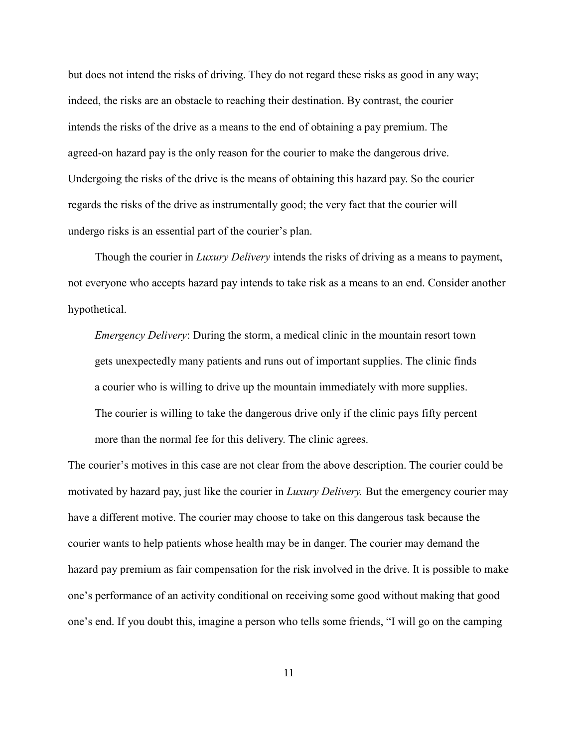but does not intend the risks of driving. They do not regard these risks as good in any way; indeed, the risks are an obstacle to reaching their destination. By contrast, the courier intends the risks of the drive as a means to the end of obtaining a pay premium. The agreed-on hazard pay is the only reason for the courier to make the dangerous drive. Undergoing the risks of the drive is the means of obtaining this hazard pay. So the courier regards the risks of the drive as instrumentally good; the very fact that the courier will undergo risks is an essential part of the courier's plan.

Though the courier in *Luxury Delivery* intends the risks of driving as a means to payment, not everyone who accepts hazard pay intends to take risk as a means to an end. Consider another hypothetical.

*Emergency Delivery*: During the storm, a medical clinic in the mountain resort town gets unexpectedly many patients and runs out of important supplies. The clinic finds a courier who is willing to drive up the mountain immediately with more supplies. The courier is willing to take the dangerous drive only if the clinic pays fifty percent more than the normal fee for this delivery. The clinic agrees.

The courier's motives in this case are not clear from the above description. The courier could be motivated by hazard pay, just like the courier in *Luxury Delivery.* But the emergency courier may have a different motive. The courier may choose to take on this dangerous task because the courier wants to help patients whose health may be in danger. The courier may demand the hazard pay premium as fair compensation for the risk involved in the drive. It is possible to make one's performance of an activity conditional on receiving some good without making that good one's end. If you doubt this, imagine a person who tells some friends, "I will go on the camping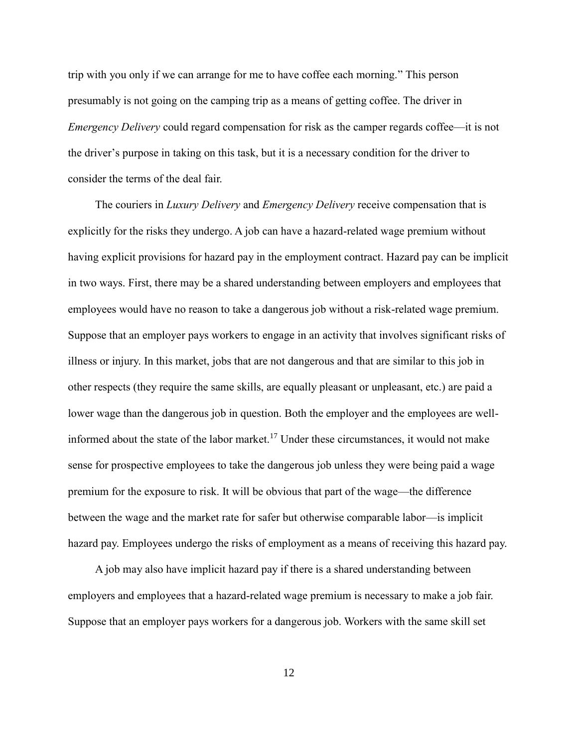trip with you only if we can arrange for me to have coffee each morning." This person presumably is not going on the camping trip as a means of getting coffee. The driver in *Emergency Delivery* could regard compensation for risk as the camper regards coffee—it is not the driver's purpose in taking on this task, but it is a necessary condition for the driver to consider the terms of the deal fair.

The couriers in *Luxury Delivery* and *Emergency Delivery* receive compensation that is explicitly for the risks they undergo. A job can have a hazard-related wage premium without having explicit provisions for hazard pay in the employment contract. Hazard pay can be implicit in two ways. First, there may be a shared understanding between employers and employees that employees would have no reason to take a dangerous job without a risk-related wage premium. Suppose that an employer pays workers to engage in an activity that involves significant risks of illness or injury. In this market, jobs that are not dangerous and that are similar to this job in other respects (they require the same skills, are equally pleasant or unpleasant, etc.) are paid a lower wage than the dangerous job in question. Both the employer and the employees are wellinformed about the state of the labor market.<sup>17</sup> Under these circumstances, it would not make sense for prospective employees to take the dangerous job unless they were being paid a wage premium for the exposure to risk. It will be obvious that part of the wage—the difference between the wage and the market rate for safer but otherwise comparable labor—is implicit hazard pay. Employees undergo the risks of employment as a means of receiving this hazard pay.

A job may also have implicit hazard pay if there is a shared understanding between employers and employees that a hazard-related wage premium is necessary to make a job fair. Suppose that an employer pays workers for a dangerous job. Workers with the same skill set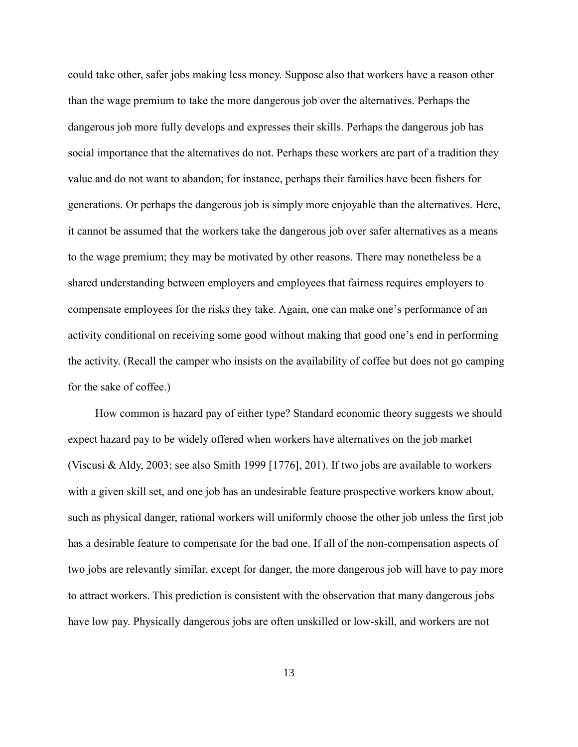could take other, safer jobs making less money. Suppose also that workers have a reason other than the wage premium to take the more dangerous job over the alternatives. Perhaps the dangerous job more fully develops and expresses their skills. Perhaps the dangerous job has social importance that the alternatives do not. Perhaps these workers are part of a tradition they value and do not want to abandon; for instance, perhaps their families have been fishers for generations. Or perhaps the dangerous job is simply more enjoyable than the alternatives. Here, it cannot be assumed that the workers take the dangerous job over safer alternatives as a means to the wage premium; they may be motivated by other reasons. There may nonetheless be a shared understanding between employers and employees that fairness requires employers to compensate employees for the risks they take. Again, one can make one's performance of an activity conditional on receiving some good without making that good one's end in performing the activity. (Recall the camper who insists on the availability of coffee but does not go camping for the sake of coffee.)

How common is hazard pay of either type? Standard economic theory suggests we should expect hazard pay to be widely offered when workers have alternatives on the job market (Viscusi & Aldy, 2003; see also Smith 1999 [1776], 201). If two jobs are available to workers with a given skill set, and one job has an undesirable feature prospective workers know about, such as physical danger, rational workers will uniformly choose the other job unless the first job has a desirable feature to compensate for the bad one. If all of the non-compensation aspects of two jobs are relevantly similar, except for danger, the more dangerous job will have to pay more to attract workers. This prediction is consistent with the observation that many dangerous jobs have low pay. Physically dangerous jobs are often unskilled or low-skill, and workers are not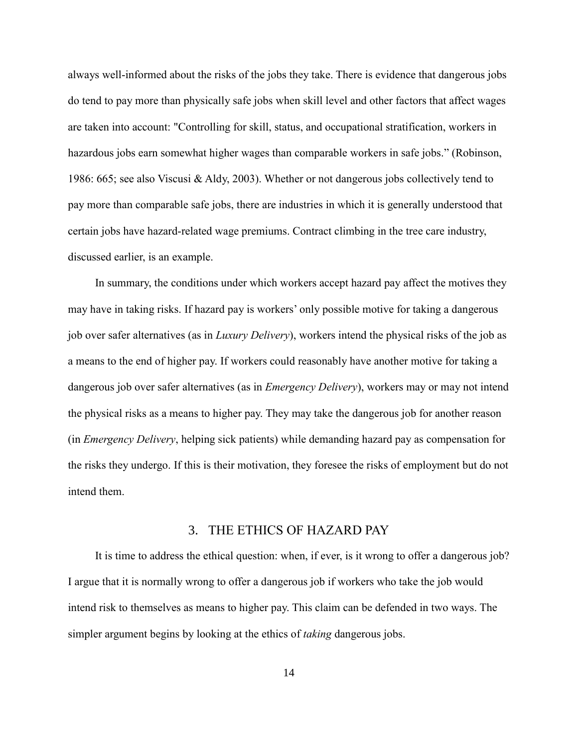always well-informed about the risks of the jobs they take. There is evidence that dangerous jobs do tend to pay more than physically safe jobs when skill level and other factors that affect wages are taken into account: "Controlling for skill, status, and occupational stratification, workers in hazardous jobs earn somewhat higher wages than comparable workers in safe jobs." (Robinson, 1986: 665; see also Viscusi & Aldy, 2003). Whether or not dangerous jobs collectively tend to pay more than comparable safe jobs, there are industries in which it is generally understood that certain jobs have hazard-related wage premiums. Contract climbing in the tree care industry, discussed earlier, is an example.

In summary, the conditions under which workers accept hazard pay affect the motives they may have in taking risks. If hazard pay is workers' only possible motive for taking a dangerous job over safer alternatives (as in *Luxury Delivery*), workers intend the physical risks of the job as a means to the end of higher pay. If workers could reasonably have another motive for taking a dangerous job over safer alternatives (as in *Emergency Delivery*), workers may or may not intend the physical risks as a means to higher pay. They may take the dangerous job for another reason (in *Emergency Delivery*, helping sick patients) while demanding hazard pay as compensation for the risks they undergo. If this is their motivation, they foresee the risks of employment but do not intend them.

## 3. THE ETHICS OF HAZARD PAY

It is time to address the ethical question: when, if ever, is it wrong to offer a dangerous job? I argue that it is normally wrong to offer a dangerous job if workers who take the job would intend risk to themselves as means to higher pay. This claim can be defended in two ways. The simpler argument begins by looking at the ethics of *taking* dangerous jobs.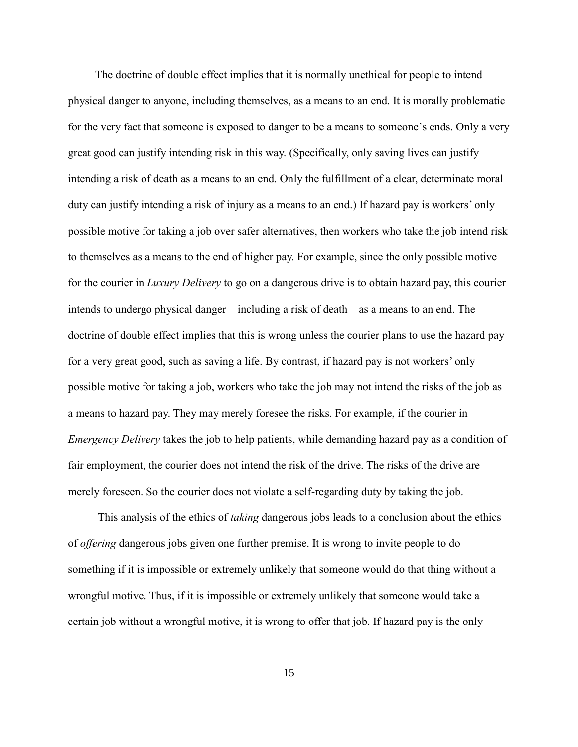The doctrine of double effect implies that it is normally unethical for people to intend physical danger to anyone, including themselves, as a means to an end. It is morally problematic for the very fact that someone is exposed to danger to be a means to someone's ends. Only a very great good can justify intending risk in this way. (Specifically, only saving lives can justify intending a risk of death as a means to an end. Only the fulfillment of a clear, determinate moral duty can justify intending a risk of injury as a means to an end.) If hazard pay is workers' only possible motive for taking a job over safer alternatives, then workers who take the job intend risk to themselves as a means to the end of higher pay. For example, since the only possible motive for the courier in *Luxury Delivery* to go on a dangerous drive is to obtain hazard pay, this courier intends to undergo physical danger—including a risk of death—as a means to an end. The doctrine of double effect implies that this is wrong unless the courier plans to use the hazard pay for a very great good, such as saving a life. By contrast, if hazard pay is not workers' only possible motive for taking a job, workers who take the job may not intend the risks of the job as a means to hazard pay. They may merely foresee the risks. For example, if the courier in *Emergency Delivery* takes the job to help patients, while demanding hazard pay as a condition of fair employment, the courier does not intend the risk of the drive. The risks of the drive are merely foreseen. So the courier does not violate a self-regarding duty by taking the job.

This analysis of the ethics of *taking* dangerous jobs leads to a conclusion about the ethics of *offering* dangerous jobs given one further premise. It is wrong to invite people to do something if it is impossible or extremely unlikely that someone would do that thing without a wrongful motive. Thus, if it is impossible or extremely unlikely that someone would take a certain job without a wrongful motive, it is wrong to offer that job. If hazard pay is the only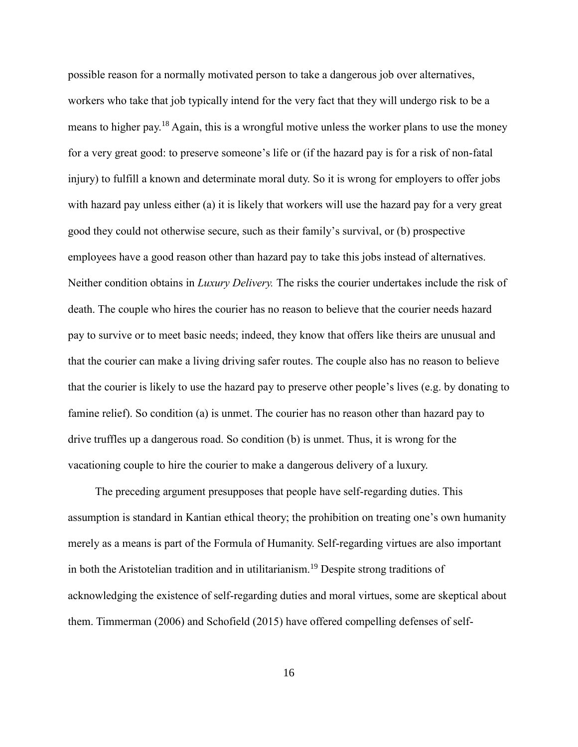possible reason for a normally motivated person to take a dangerous job over alternatives, workers who take that job typically intend for the very fact that they will undergo risk to be a means to higher pay.<sup>18</sup> Again, this is a wrongful motive unless the worker plans to use the money for a very great good: to preserve someone's life or (if the hazard pay is for a risk of non-fatal injury) to fulfill a known and determinate moral duty. So it is wrong for employers to offer jobs with hazard pay unless either (a) it is likely that workers will use the hazard pay for a very great good they could not otherwise secure, such as their family's survival, or (b) prospective employees have a good reason other than hazard pay to take this jobs instead of alternatives. Neither condition obtains in *Luxury Delivery.* The risks the courier undertakes include the risk of death. The couple who hires the courier has no reason to believe that the courier needs hazard pay to survive or to meet basic needs; indeed, they know that offers like theirs are unusual and that the courier can make a living driving safer routes. The couple also has no reason to believe that the courier is likely to use the hazard pay to preserve other people's lives (e.g. by donating to famine relief). So condition (a) is unmet. The courier has no reason other than hazard pay to drive truffles up a dangerous road. So condition (b) is unmet. Thus, it is wrong for the vacationing couple to hire the courier to make a dangerous delivery of a luxury.

The preceding argument presupposes that people have self-regarding duties. This assumption is standard in Kantian ethical theory; the prohibition on treating one's own humanity merely as a means is part of the Formula of Humanity. Self-regarding virtues are also important in both the Aristotelian tradition and in utilitarianism.<sup>19</sup> Despite strong traditions of acknowledging the existence of self-regarding duties and moral virtues, some are skeptical about them. Timmerman (2006) and Schofield (2015) have offered compelling defenses of self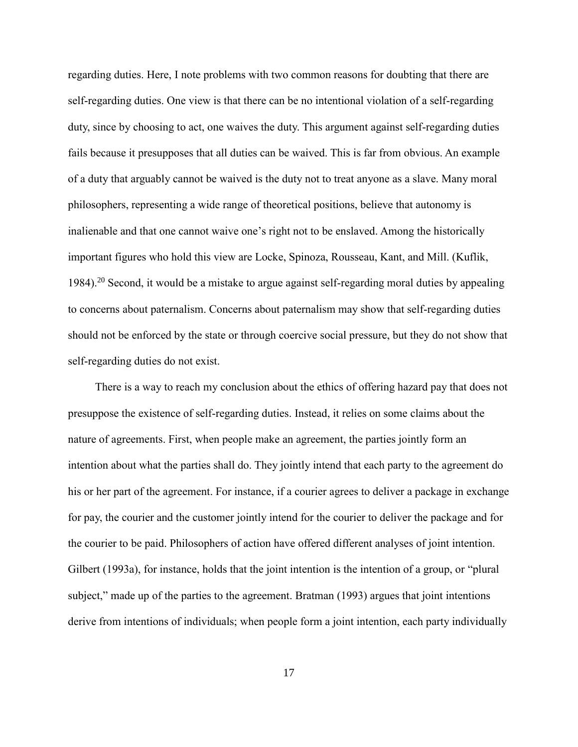regarding duties. Here, I note problems with two common reasons for doubting that there are self-regarding duties. One view is that there can be no intentional violation of a self-regarding duty, since by choosing to act, one waives the duty. This argument against self-regarding duties fails because it presupposes that all duties can be waived. This is far from obvious. An example of a duty that arguably cannot be waived is the duty not to treat anyone as a slave. Many moral philosophers, representing a wide range of theoretical positions, believe that autonomy is inalienable and that one cannot waive one's right not to be enslaved. Among the historically important figures who hold this view are Locke, Spinoza, Rousseau, Kant, and Mill. (Kuflik, 1984).<sup>20</sup> Second, it would be a mistake to argue against self-regarding moral duties by appealing to concerns about paternalism. Concerns about paternalism may show that self-regarding duties should not be enforced by the state or through coercive social pressure, but they do not show that self-regarding duties do not exist.

There is a way to reach my conclusion about the ethics of offering hazard pay that does not presuppose the existence of self-regarding duties. Instead, it relies on some claims about the nature of agreements. First, when people make an agreement, the parties jointly form an intention about what the parties shall do. They jointly intend that each party to the agreement do his or her part of the agreement. For instance, if a courier agrees to deliver a package in exchange for pay, the courier and the customer jointly intend for the courier to deliver the package and for the courier to be paid. Philosophers of action have offered different analyses of joint intention. Gilbert (1993a), for instance, holds that the joint intention is the intention of a group, or "plural subject," made up of the parties to the agreement. Bratman (1993) argues that joint intentions derive from intentions of individuals; when people form a joint intention, each party individually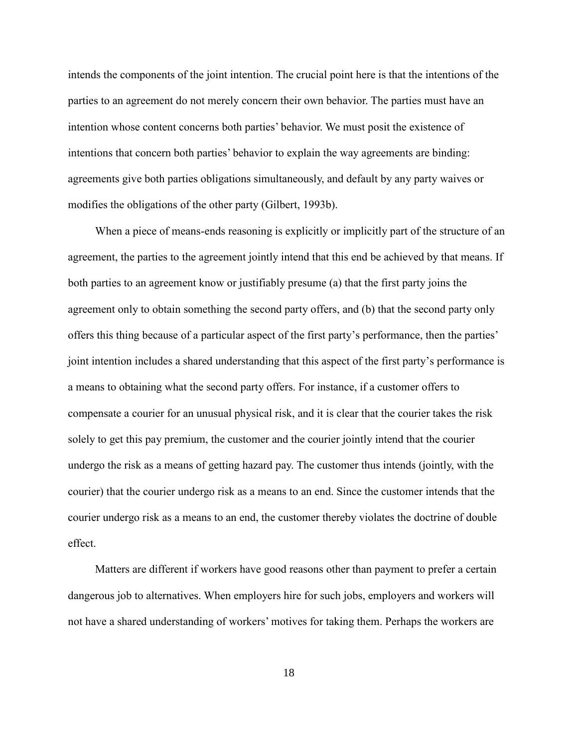intends the components of the joint intention. The crucial point here is that the intentions of the parties to an agreement do not merely concern their own behavior. The parties must have an intention whose content concerns both parties' behavior. We must posit the existence of intentions that concern both parties' behavior to explain the way agreements are binding: agreements give both parties obligations simultaneously, and default by any party waives or modifies the obligations of the other party (Gilbert, 1993b).

When a piece of means-ends reasoning is explicitly or implicitly part of the structure of an agreement, the parties to the agreement jointly intend that this end be achieved by that means. If both parties to an agreement know or justifiably presume (a) that the first party joins the agreement only to obtain something the second party offers, and (b) that the second party only offers this thing because of a particular aspect of the first party's performance, then the parties' joint intention includes a shared understanding that this aspect of the first party's performance is a means to obtaining what the second party offers. For instance, if a customer offers to compensate a courier for an unusual physical risk, and it is clear that the courier takes the risk solely to get this pay premium, the customer and the courier jointly intend that the courier undergo the risk as a means of getting hazard pay. The customer thus intends (jointly, with the courier) that the courier undergo risk as a means to an end. Since the customer intends that the courier undergo risk as a means to an end, the customer thereby violates the doctrine of double effect.

Matters are different if workers have good reasons other than payment to prefer a certain dangerous job to alternatives. When employers hire for such jobs, employers and workers will not have a shared understanding of workers' motives for taking them. Perhaps the workers are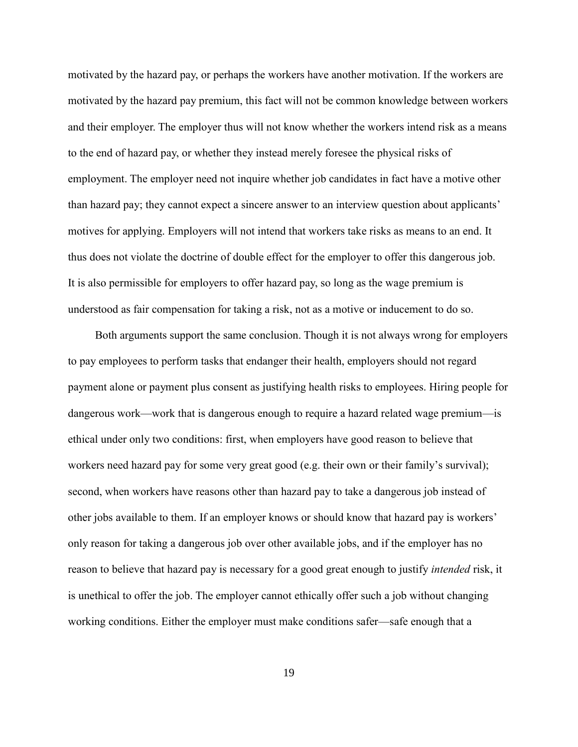motivated by the hazard pay, or perhaps the workers have another motivation. If the workers are motivated by the hazard pay premium, this fact will not be common knowledge between workers and their employer. The employer thus will not know whether the workers intend risk as a means to the end of hazard pay, or whether they instead merely foresee the physical risks of employment. The employer need not inquire whether job candidates in fact have a motive other than hazard pay; they cannot expect a sincere answer to an interview question about applicants' motives for applying. Employers will not intend that workers take risks as means to an end. It thus does not violate the doctrine of double effect for the employer to offer this dangerous job. It is also permissible for employers to offer hazard pay, so long as the wage premium is understood as fair compensation for taking a risk, not as a motive or inducement to do so.

Both arguments support the same conclusion. Though it is not always wrong for employers to pay employees to perform tasks that endanger their health, employers should not regard payment alone or payment plus consent as justifying health risks to employees. Hiring people for dangerous work—work that is dangerous enough to require a hazard related wage premium—is ethical under only two conditions: first, when employers have good reason to believe that workers need hazard pay for some very great good (e.g. their own or their family's survival); second, when workers have reasons other than hazard pay to take a dangerous job instead of other jobs available to them. If an employer knows or should know that hazard pay is workers' only reason for taking a dangerous job over other available jobs, and if the employer has no reason to believe that hazard pay is necessary for a good great enough to justify *intended* risk, it is unethical to offer the job. The employer cannot ethically offer such a job without changing working conditions. Either the employer must make conditions safer—safe enough that a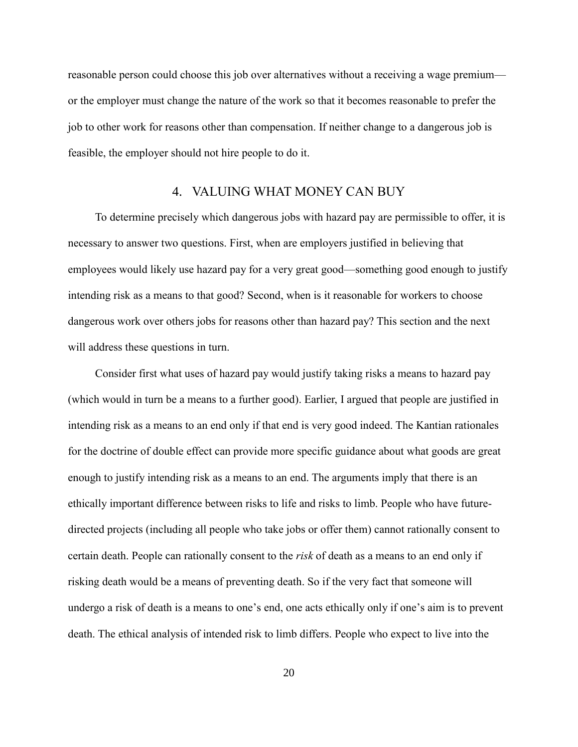reasonable person could choose this job over alternatives without a receiving a wage premium or the employer must change the nature of the work so that it becomes reasonable to prefer the job to other work for reasons other than compensation. If neither change to a dangerous job is feasible, the employer should not hire people to do it.

### 4. VALUING WHAT MONEY CAN BUY

To determine precisely which dangerous jobs with hazard pay are permissible to offer, it is necessary to answer two questions. First, when are employers justified in believing that employees would likely use hazard pay for a very great good—something good enough to justify intending risk as a means to that good? Second, when is it reasonable for workers to choose dangerous work over others jobs for reasons other than hazard pay? This section and the next will address these questions in turn.

Consider first what uses of hazard pay would justify taking risks a means to hazard pay (which would in turn be a means to a further good). Earlier, I argued that people are justified in intending risk as a means to an end only if that end is very good indeed. The Kantian rationales for the doctrine of double effect can provide more specific guidance about what goods are great enough to justify intending risk as a means to an end. The arguments imply that there is an ethically important difference between risks to life and risks to limb. People who have futuredirected projects (including all people who take jobs or offer them) cannot rationally consent to certain death. People can rationally consent to the *risk* of death as a means to an end only if risking death would be a means of preventing death. So if the very fact that someone will undergo a risk of death is a means to one's end, one acts ethically only if one's aim is to prevent death. The ethical analysis of intended risk to limb differs. People who expect to live into the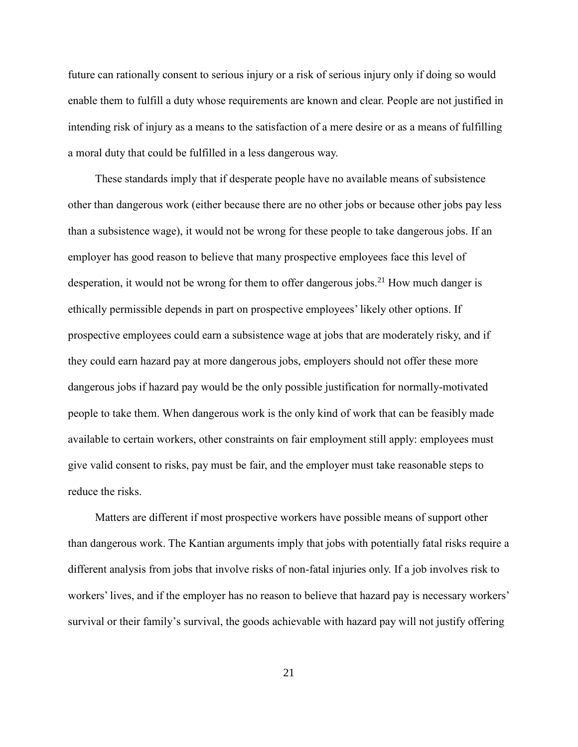future can rationally consent to serious injury or a risk of serious injury only if doing so would enable them to fulfill a duty whose requirements are known and clear. People are not justified in intending risk of injury as a means to the satisfaction of a mere desire or as a means of fulfilling a moral duty that could be fulfilled in a less dangerous way.

These standards imply that if desperate people have no available means of subsistence other than dangerous work (either because there are no other jobs or because other jobs pay less than a subsistence wage), it would not be wrong for these people to take dangerous jobs. If an employer has good reason to believe that many prospective employees face this level of desperation, it would not be wrong for them to offer dangerous jobs.<sup>21</sup> How much danger is ethically permissible depends in part on prospective employees' likely other options. If prospective employees could earn a subsistence wage at jobs that are moderately risky, and if they could earn hazard pay at more dangerous jobs, employers should not offer these more dangerous jobs if hazard pay would be the only possible justification for normally-motivated people to take them. When dangerous work is the only kind of work that can be feasibly made available to certain workers, other constraints on fair employment still apply: employees must give valid consent to risks, pay must be fair, and the employer must take reasonable steps to reduce the risks.

Matters are different if most prospective workers have possible means of support other than dangerous work. The Kantian arguments imply that jobs with potentially fatal risks require a different analysis from jobs that involve risks of non-fatal injuries only. If a job involves risk to workers' lives, and if the employer has no reason to believe that hazard pay is necessary workers' survival or their family's survival, the goods achievable with hazard pay will not justify offering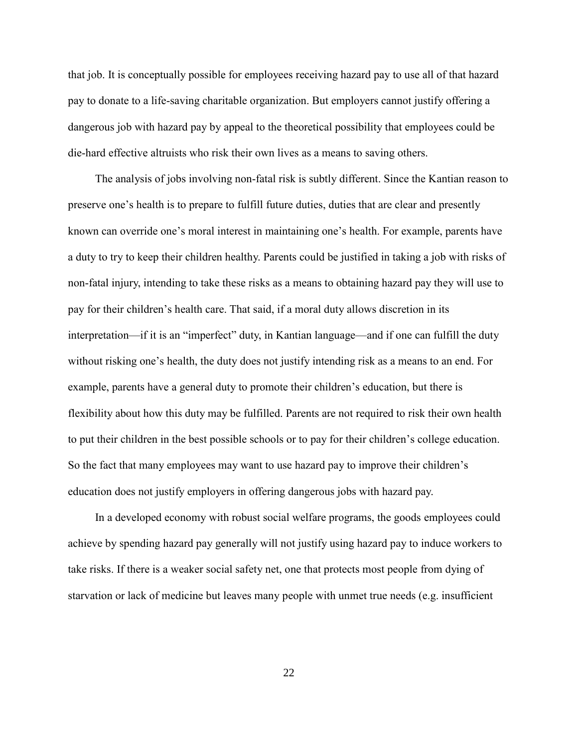that job. It is conceptually possible for employees receiving hazard pay to use all of that hazard pay to donate to a life-saving charitable organization. But employers cannot justify offering a dangerous job with hazard pay by appeal to the theoretical possibility that employees could be die-hard effective altruists who risk their own lives as a means to saving others.

The analysis of jobs involving non-fatal risk is subtly different. Since the Kantian reason to preserve one's health is to prepare to fulfill future duties, duties that are clear and presently known can override one's moral interest in maintaining one's health. For example, parents have a duty to try to keep their children healthy. Parents could be justified in taking a job with risks of non-fatal injury, intending to take these risks as a means to obtaining hazard pay they will use to pay for their children's health care. That said, if a moral duty allows discretion in its interpretation—if it is an "imperfect" duty, in Kantian language—and if one can fulfill the duty without risking one's health, the duty does not justify intending risk as a means to an end. For example, parents have a general duty to promote their children's education, but there is flexibility about how this duty may be fulfilled. Parents are not required to risk their own health to put their children in the best possible schools or to pay for their children's college education. So the fact that many employees may want to use hazard pay to improve their children's education does not justify employers in offering dangerous jobs with hazard pay.

In a developed economy with robust social welfare programs, the goods employees could achieve by spending hazard pay generally will not justify using hazard pay to induce workers to take risks. If there is a weaker social safety net, one that protects most people from dying of starvation or lack of medicine but leaves many people with unmet true needs (e.g. insufficient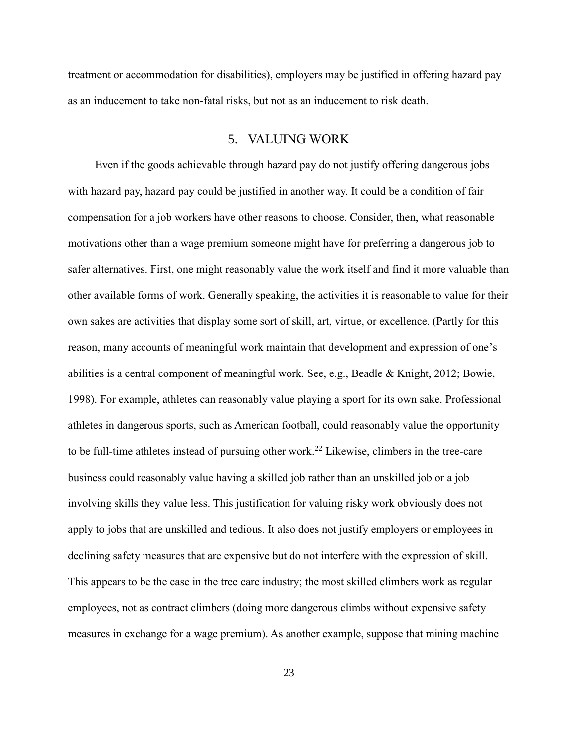treatment or accommodation for disabilities), employers may be justified in offering hazard pay as an inducement to take non-fatal risks, but not as an inducement to risk death.

# 5. VALUING WORK

Even if the goods achievable through hazard pay do not justify offering dangerous jobs with hazard pay, hazard pay could be justified in another way. It could be a condition of fair compensation for a job workers have other reasons to choose. Consider, then, what reasonable motivations other than a wage premium someone might have for preferring a dangerous job to safer alternatives. First, one might reasonably value the work itself and find it more valuable than other available forms of work. Generally speaking, the activities it is reasonable to value for their own sakes are activities that display some sort of skill, art, virtue, or excellence. (Partly for this reason, many accounts of meaningful work maintain that development and expression of one's abilities is a central component of meaningful work. See, e.g., Beadle & Knight, 2012; Bowie, 1998). For example, athletes can reasonably value playing a sport for its own sake. Professional athletes in dangerous sports, such as American football, could reasonably value the opportunity to be full-time athletes instead of pursuing other work.<sup>22</sup> Likewise, climbers in the tree-care business could reasonably value having a skilled job rather than an unskilled job or a job involving skills they value less. This justification for valuing risky work obviously does not apply to jobs that are unskilled and tedious. It also does not justify employers or employees in declining safety measures that are expensive but do not interfere with the expression of skill. This appears to be the case in the tree care industry; the most skilled climbers work as regular employees, not as contract climbers (doing more dangerous climbs without expensive safety measures in exchange for a wage premium). As another example, suppose that mining machine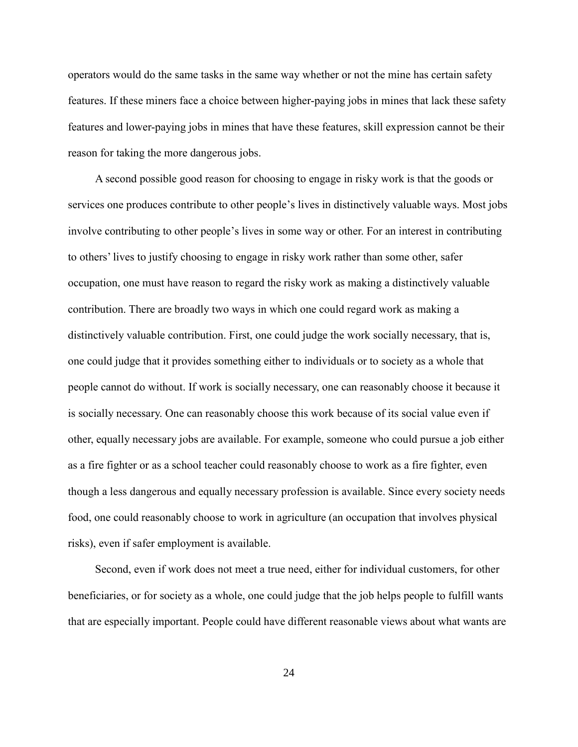operators would do the same tasks in the same way whether or not the mine has certain safety features. If these miners face a choice between higher-paying jobs in mines that lack these safety features and lower-paying jobs in mines that have these features, skill expression cannot be their reason for taking the more dangerous jobs.

A second possible good reason for choosing to engage in risky work is that the goods or services one produces contribute to other people's lives in distinctively valuable ways. Most jobs involve contributing to other people's lives in some way or other. For an interest in contributing to others' lives to justify choosing to engage in risky work rather than some other, safer occupation, one must have reason to regard the risky work as making a distinctively valuable contribution. There are broadly two ways in which one could regard work as making a distinctively valuable contribution. First, one could judge the work socially necessary, that is, one could judge that it provides something either to individuals or to society as a whole that people cannot do without. If work is socially necessary, one can reasonably choose it because it is socially necessary. One can reasonably choose this work because of its social value even if other, equally necessary jobs are available. For example, someone who could pursue a job either as a fire fighter or as a school teacher could reasonably choose to work as a fire fighter, even though a less dangerous and equally necessary profession is available. Since every society needs food, one could reasonably choose to work in agriculture (an occupation that involves physical risks), even if safer employment is available.

Second, even if work does not meet a true need, either for individual customers, for other beneficiaries, or for society as a whole, one could judge that the job helps people to fulfill wants that are especially important. People could have different reasonable views about what wants are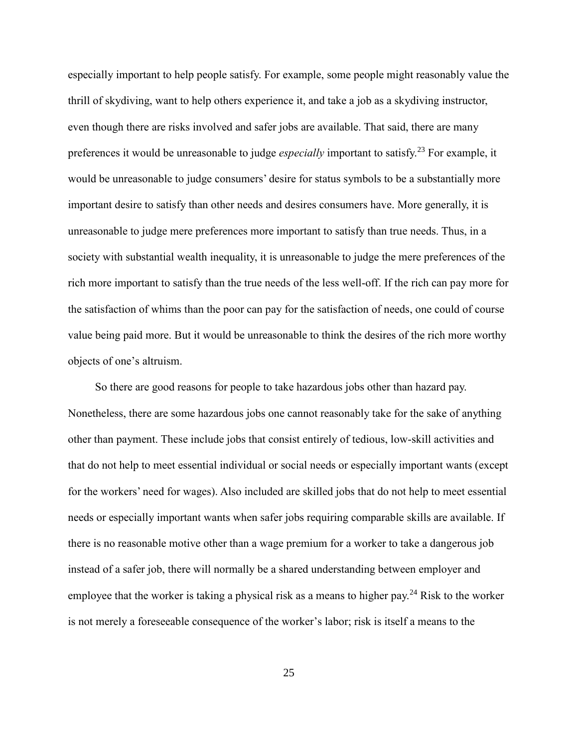especially important to help people satisfy. For example, some people might reasonably value the thrill of skydiving, want to help others experience it, and take a job as a skydiving instructor, even though there are risks involved and safer jobs are available. That said, there are many preferences it would be unreasonable to judge *especially* important to satisfy.<sup>23</sup> For example, it would be unreasonable to judge consumers' desire for status symbols to be a substantially more important desire to satisfy than other needs and desires consumers have. More generally, it is unreasonable to judge mere preferences more important to satisfy than true needs. Thus, in a society with substantial wealth inequality, it is unreasonable to judge the mere preferences of the rich more important to satisfy than the true needs of the less well-off. If the rich can pay more for the satisfaction of whims than the poor can pay for the satisfaction of needs, one could of course value being paid more. But it would be unreasonable to think the desires of the rich more worthy objects of one's altruism.

So there are good reasons for people to take hazardous jobs other than hazard pay. Nonetheless, there are some hazardous jobs one cannot reasonably take for the sake of anything other than payment. These include jobs that consist entirely of tedious, low-skill activities and that do not help to meet essential individual or social needs or especially important wants (except for the workers' need for wages). Also included are skilled jobs that do not help to meet essential needs or especially important wants when safer jobs requiring comparable skills are available. If there is no reasonable motive other than a wage premium for a worker to take a dangerous job instead of a safer job, there will normally be a shared understanding between employer and employee that the worker is taking a physical risk as a means to higher pay.<sup>24</sup> Risk to the worker is not merely a foreseeable consequence of the worker's labor; risk is itself a means to the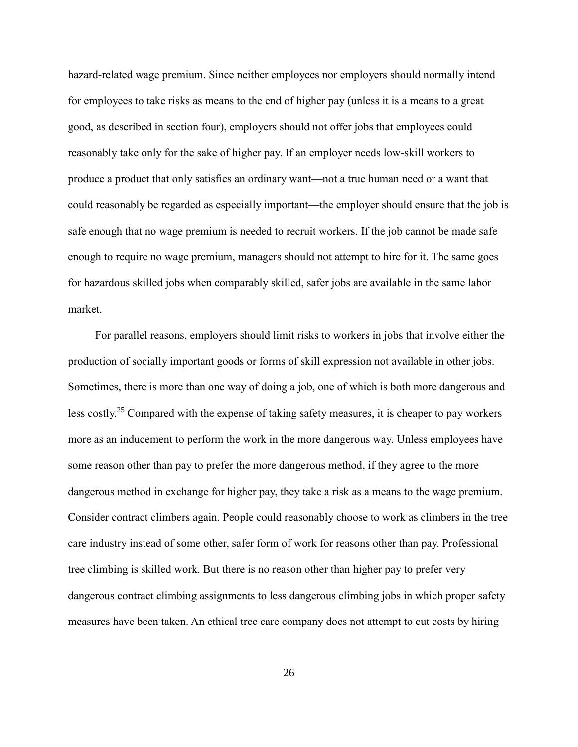hazard-related wage premium. Since neither employees nor employers should normally intend for employees to take risks as means to the end of higher pay (unless it is a means to a great good, as described in section four), employers should not offer jobs that employees could reasonably take only for the sake of higher pay. If an employer needs low-skill workers to produce a product that only satisfies an ordinary want—not a true human need or a want that could reasonably be regarded as especially important—the employer should ensure that the job is safe enough that no wage premium is needed to recruit workers. If the job cannot be made safe enough to require no wage premium, managers should not attempt to hire for it. The same goes for hazardous skilled jobs when comparably skilled, safer jobs are available in the same labor market.

For parallel reasons, employers should limit risks to workers in jobs that involve either the production of socially important goods or forms of skill expression not available in other jobs. Sometimes, there is more than one way of doing a job, one of which is both more dangerous and less costly.<sup>25</sup> Compared with the expense of taking safety measures, it is cheaper to pay workers more as an inducement to perform the work in the more dangerous way. Unless employees have some reason other than pay to prefer the more dangerous method, if they agree to the more dangerous method in exchange for higher pay, they take a risk as a means to the wage premium. Consider contract climbers again. People could reasonably choose to work as climbers in the tree care industry instead of some other, safer form of work for reasons other than pay. Professional tree climbing is skilled work. But there is no reason other than higher pay to prefer very dangerous contract climbing assignments to less dangerous climbing jobs in which proper safety measures have been taken. An ethical tree care company does not attempt to cut costs by hiring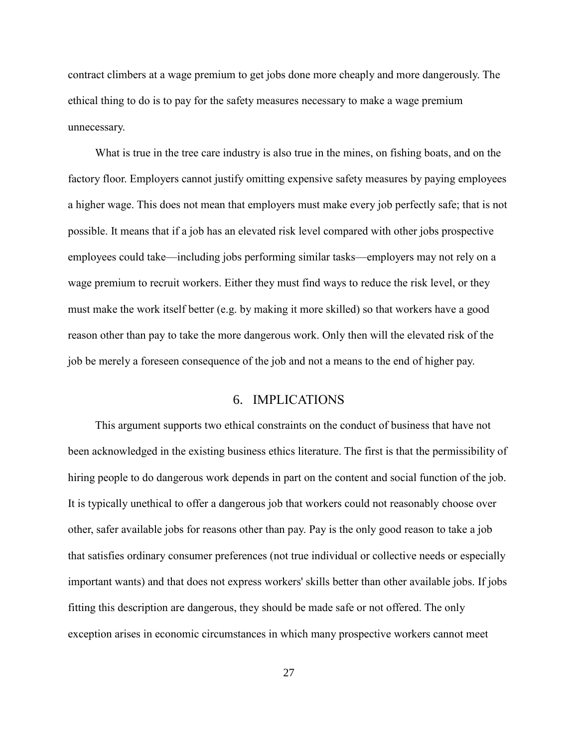contract climbers at a wage premium to get jobs done more cheaply and more dangerously. The ethical thing to do is to pay for the safety measures necessary to make a wage premium unnecessary.

What is true in the tree care industry is also true in the mines, on fishing boats, and on the factory floor. Employers cannot justify omitting expensive safety measures by paying employees a higher wage. This does not mean that employers must make every job perfectly safe; that is not possible. It means that if a job has an elevated risk level compared with other jobs prospective employees could take—including jobs performing similar tasks—employers may not rely on a wage premium to recruit workers. Either they must find ways to reduce the risk level, or they must make the work itself better (e.g. by making it more skilled) so that workers have a good reason other than pay to take the more dangerous work. Only then will the elevated risk of the job be merely a foreseen consequence of the job and not a means to the end of higher pay.

## 6. IMPLICATIONS

This argument supports two ethical constraints on the conduct of business that have not been acknowledged in the existing business ethics literature. The first is that the permissibility of hiring people to do dangerous work depends in part on the content and social function of the job. It is typically unethical to offer a dangerous job that workers could not reasonably choose over other, safer available jobs for reasons other than pay. Pay is the only good reason to take a job that satisfies ordinary consumer preferences (not true individual or collective needs or especially important wants) and that does not express workers' skills better than other available jobs. If jobs fitting this description are dangerous, they should be made safe or not offered. The only exception arises in economic circumstances in which many prospective workers cannot meet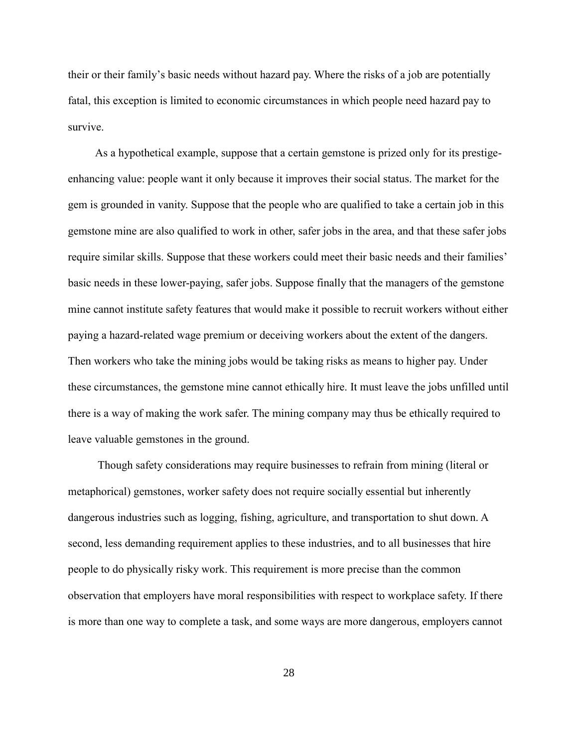their or their family's basic needs without hazard pay. Where the risks of a job are potentially fatal, this exception is limited to economic circumstances in which people need hazard pay to survive.

As a hypothetical example, suppose that a certain gemstone is prized only for its prestigeenhancing value: people want it only because it improves their social status. The market for the gem is grounded in vanity. Suppose that the people who are qualified to take a certain job in this gemstone mine are also qualified to work in other, safer jobs in the area, and that these safer jobs require similar skills. Suppose that these workers could meet their basic needs and their families' basic needs in these lower-paying, safer jobs. Suppose finally that the managers of the gemstone mine cannot institute safety features that would make it possible to recruit workers without either paying a hazard-related wage premium or deceiving workers about the extent of the dangers. Then workers who take the mining jobs would be taking risks as means to higher pay. Under these circumstances, the gemstone mine cannot ethically hire. It must leave the jobs unfilled until there is a way of making the work safer. The mining company may thus be ethically required to leave valuable gemstones in the ground.

Though safety considerations may require businesses to refrain from mining (literal or metaphorical) gemstones, worker safety does not require socially essential but inherently dangerous industries such as logging, fishing, agriculture, and transportation to shut down. A second, less demanding requirement applies to these industries, and to all businesses that hire people to do physically risky work. This requirement is more precise than the common observation that employers have moral responsibilities with respect to workplace safety. If there is more than one way to complete a task, and some ways are more dangerous, employers cannot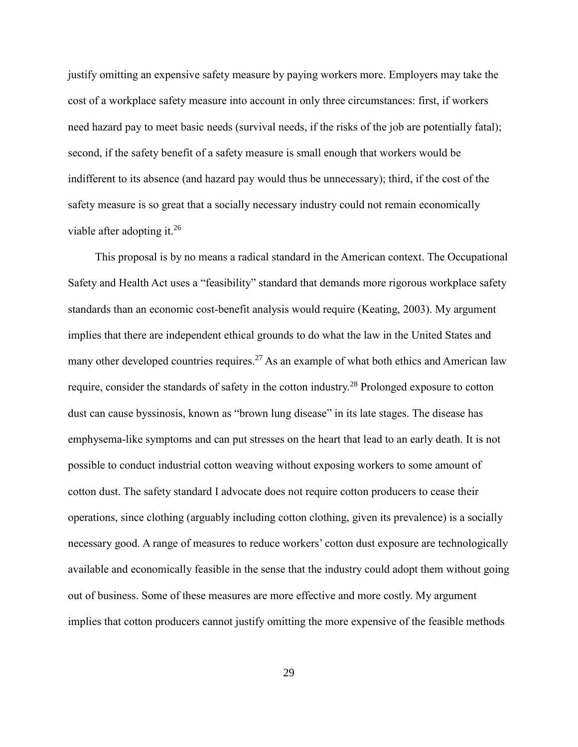justify omitting an expensive safety measure by paying workers more. Employers may take the cost of a workplace safety measure into account in only three circumstances: first, if workers need hazard pay to meet basic needs (survival needs, if the risks of the job are potentially fatal); second, if the safety benefit of a safety measure is small enough that workers would be indifferent to its absence (and hazard pay would thus be unnecessary); third, if the cost of the safety measure is so great that a socially necessary industry could not remain economically viable after adopting it.<sup>26</sup>

This proposal is by no means a radical standard in the American context. The Occupational Safety and Health Act uses a "feasibility" standard that demands more rigorous workplace safety standards than an economic cost-benefit analysis would require (Keating, 2003). My argument implies that there are independent ethical grounds to do what the law in the United States and many other developed countries requires.<sup>27</sup> As an example of what both ethics and American law require, consider the standards of safety in the cotton industry.<sup>28</sup> Prolonged exposure to cotton dust can cause byssinosis, known as "brown lung disease" in its late stages. The disease has emphysema-like symptoms and can put stresses on the heart that lead to an early death. It is not possible to conduct industrial cotton weaving without exposing workers to some amount of cotton dust. The safety standard I advocate does not require cotton producers to cease their operations, since clothing (arguably including cotton clothing, given its prevalence) is a socially necessary good. A range of measures to reduce workers' cotton dust exposure are technologically available and economically feasible in the sense that the industry could adopt them without going out of business. Some of these measures are more effective and more costly. My argument implies that cotton producers cannot justify omitting the more expensive of the feasible methods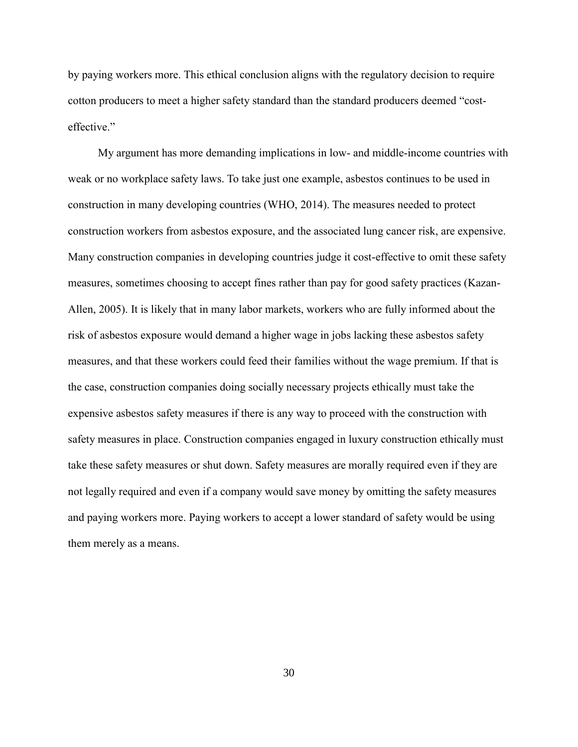by paying workers more. This ethical conclusion aligns with the regulatory decision to require cotton producers to meet a higher safety standard than the standard producers deemed "costeffective."

My argument has more demanding implications in low- and middle-income countries with weak or no workplace safety laws. To take just one example, asbestos continues to be used in construction in many developing countries (WHO, 2014). The measures needed to protect construction workers from asbestos exposure, and the associated lung cancer risk, are expensive. Many construction companies in developing countries judge it cost-effective to omit these safety measures, sometimes choosing to accept fines rather than pay for good safety practices (Kazan-Allen, 2005). It is likely that in many labor markets, workers who are fully informed about the risk of asbestos exposure would demand a higher wage in jobs lacking these asbestos safety measures, and that these workers could feed their families without the wage premium. If that is the case, construction companies doing socially necessary projects ethically must take the expensive asbestos safety measures if there is any way to proceed with the construction with safety measures in place. Construction companies engaged in luxury construction ethically must take these safety measures or shut down. Safety measures are morally required even if they are not legally required and even if a company would save money by omitting the safety measures and paying workers more. Paying workers to accept a lower standard of safety would be using them merely as a means.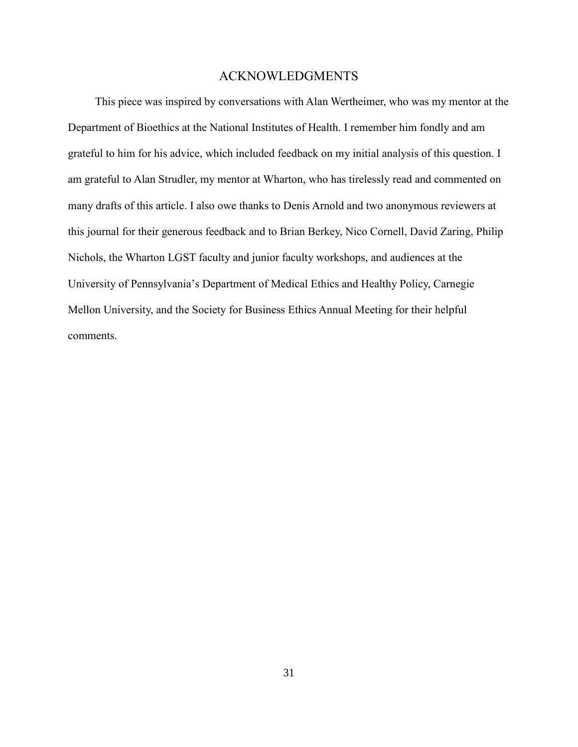#### ACKNOWLEDGMENTS

This piece was inspired by conversations with Alan Wertheimer, who was my mentor at the Department of Bioethics at the National Institutes of Health. I remember him fondly and am grateful to him for his advice, which included feedback on my initial analysis of this question. I am grateful to Alan Strudler, my mentor at Wharton, who has tirelessly read and commented on many drafts of this article. I also owe thanks to Denis Arnold and two anonymous reviewers at this journal for their generous feedback and to Brian Berkey, Nico Cornell, David Zaring, Philip Nichols, the Wharton LGST faculty and junior faculty workshops, and audiences at the University of Pennsylvania's Department of Medical Ethics and Healthy Policy, Carnegie Mellon University, and the Society for Business Ethics Annual Meeting for their helpful comments.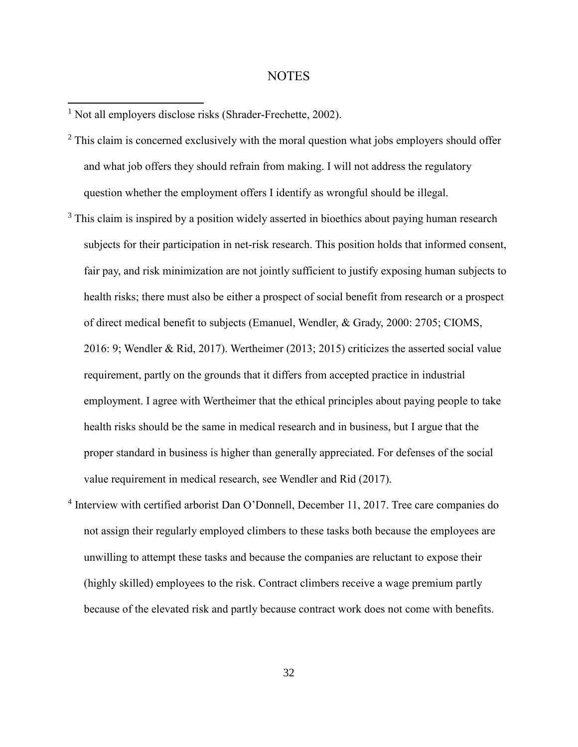## **NOTES**

<sup>1</sup> Not all employers disclose risks (Shrader-Frechette, 2002).

- $2$  This claim is concerned exclusively with the moral question what jobs employers should offer and what job offers they should refrain from making. I will not address the regulatory question whether the employment offers I identify as wrongful should be illegal.
- $3$  This claim is inspired by a position widely asserted in bioethics about paying human research subjects for their participation in net-risk research. This position holds that informed consent, fair pay, and risk minimization are not jointly sufficient to justify exposing human subjects to health risks; there must also be either a prospect of social benefit from research or a prospect of direct medical benefit to subjects (Emanuel, Wendler, & Grady, 2000: 2705; CIOMS, 2016: 9; Wendler & Rid, 2017). Wertheimer (2013; 2015) criticizes the asserted social value requirement, partly on the grounds that it differs from accepted practice in industrial employment. I agree with Wertheimer that the ethical principles about paying people to take health risks should be the same in medical research and in business, but I argue that the proper standard in business is higher than generally appreciated. For defenses of the social value requirement in medical research, see Wendler and Rid (2017).
- <sup>4</sup> Interview with certified arborist Dan O'Donnell, December 11, 2017. Tree care companies do not assign their regularly employed climbers to these tasks both because the employees are unwilling to attempt these tasks and because the companies are reluctant to expose their (highly skilled) employees to the risk. Contract climbers receive a wage premium partly because of the elevated risk and partly because contract work does not come with benefits.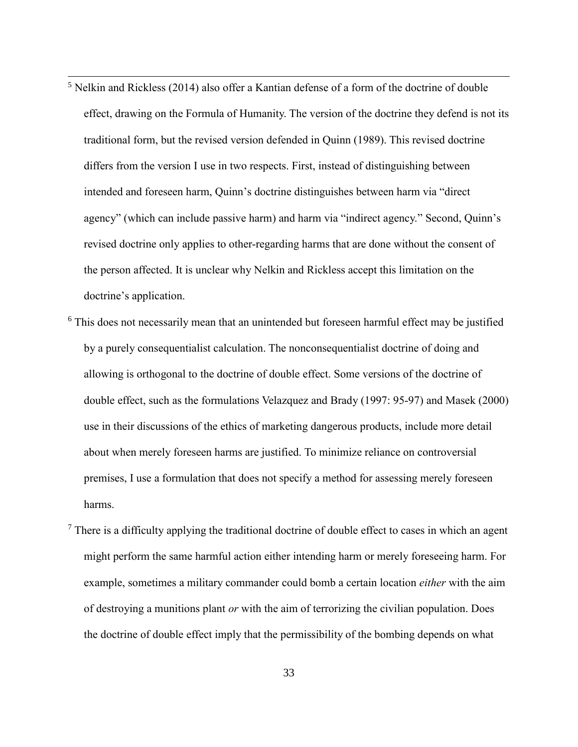$<sup>5</sup>$  Nelkin and Rickless (2014) also offer a Kantian defense of a form of the doctrine of double</sup> effect, drawing on the Formula of Humanity. The version of the doctrine they defend is not its traditional form, but the revised version defended in Quinn (1989). This revised doctrine differs from the version I use in two respects. First, instead of distinguishing between intended and foreseen harm, Quinn's doctrine distinguishes between harm via "direct agency" (which can include passive harm) and harm via "indirect agency." Second, Quinn's revised doctrine only applies to other-regarding harms that are done without the consent of the person affected. It is unclear why Nelkin and Rickless accept this limitation on the doctrine's application.

- <sup>6</sup> This does not necessarily mean that an unintended but foreseen harmful effect may be justified by a purely consequentialist calculation. The nonconsequentialist doctrine of doing and allowing is orthogonal to the doctrine of double effect. Some versions of the doctrine of double effect, such as the formulations Velazquez and Brady (1997: 95-97) and Masek (2000) use in their discussions of the ethics of marketing dangerous products, include more detail about when merely foreseen harms are justified. To minimize reliance on controversial premises, I use a formulation that does not specify a method for assessing merely foreseen harms.
- $<sup>7</sup>$  There is a difficulty applying the traditional doctrine of double effect to cases in which an agent</sup> might perform the same harmful action either intending harm or merely foreseeing harm. For example, sometimes a military commander could bomb a certain location *either* with the aim of destroying a munitions plant *or* with the aim of terrorizing the civilian population. Does the doctrine of double effect imply that the permissibility of the bombing depends on what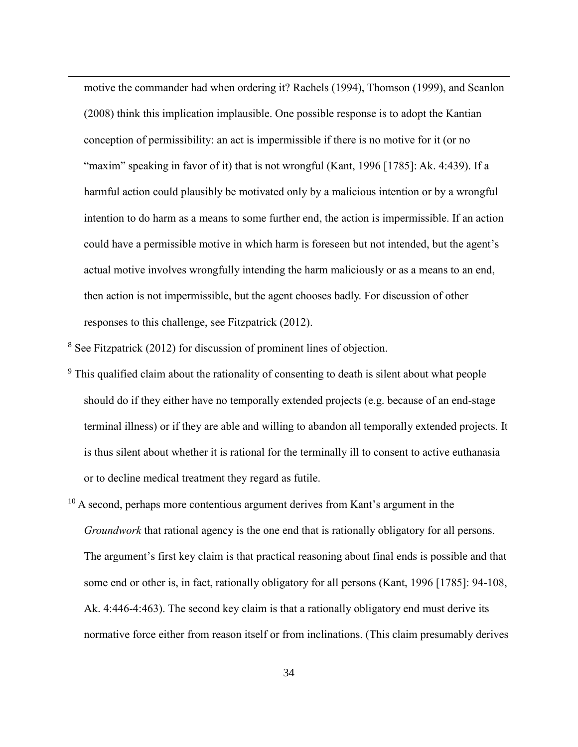motive the commander had when ordering it? Rachels (1994), Thomson (1999), and Scanlon (2008) think this implication implausible. One possible response is to adopt the Kantian conception of permissibility: an act is impermissible if there is no motive for it (or no "maxim" speaking in favor of it) that is not wrongful (Kant, 1996 [1785]: Ak. 4:439). If a harmful action could plausibly be motivated only by a malicious intention or by a wrongful intention to do harm as a means to some further end, the action is impermissible. If an action could have a permissible motive in which harm is foreseen but not intended, but the agent's actual motive involves wrongfully intending the harm maliciously or as a means to an end, then action is not impermissible, but the agent chooses badly. For discussion of other responses to this challenge, see Fitzpatrick (2012).

<sup>8</sup> See Fitzpatrick (2012) for discussion of prominent lines of objection.

- <sup>9</sup> This qualified claim about the rationality of consenting to death is silent about what people should do if they either have no temporally extended projects (e.g. because of an end-stage terminal illness) or if they are able and willing to abandon all temporally extended projects. It is thus silent about whether it is rational for the terminally ill to consent to active euthanasia or to decline medical treatment they regard as futile.
- $10$  A second, perhaps more contentious argument derives from Kant's argument in the *Groundwork* that rational agency is the one end that is rationally obligatory for all persons. The argument's first key claim is that practical reasoning about final ends is possible and that some end or other is, in fact, rationally obligatory for all persons (Kant, 1996 [1785]: 94-108, Ak. 4:446-4:463). The second key claim is that a rationally obligatory end must derive its normative force either from reason itself or from inclinations. (This claim presumably derives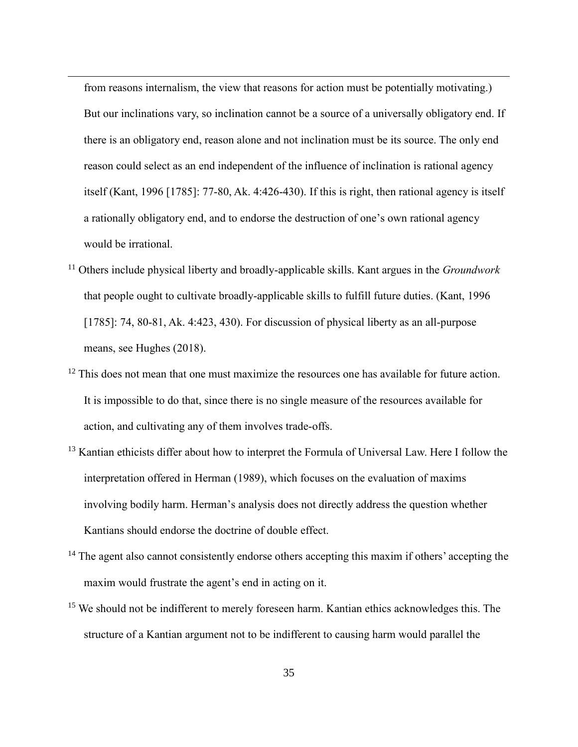from reasons internalism, the view that reasons for action must be potentially motivating.) But our inclinations vary, so inclination cannot be a source of a universally obligatory end. If there is an obligatory end, reason alone and not inclination must be its source. The only end reason could select as an end independent of the influence of inclination is rational agency itself (Kant, 1996 [1785]: 77-80, Ak. 4:426-430). If this is right, then rational agency is itself a rationally obligatory end, and to endorse the destruction of one's own rational agency would be irrational.

- <sup>11</sup> Others include physical liberty and broadly-applicable skills. Kant argues in the *Groundwork* that people ought to cultivate broadly-applicable skills to fulfill future duties. (Kant, 1996 [1785]: 74, 80-81, Ak. 4:423, 430). For discussion of physical liberty as an all-purpose means, see Hughes (2018).
- $12$  This does not mean that one must maximize the resources one has available for future action. It is impossible to do that, since there is no single measure of the resources available for action, and cultivating any of them involves trade-offs.
- <sup>13</sup> Kantian ethicists differ about how to interpret the Formula of Universal Law. Here I follow the interpretation offered in Herman (1989), which focuses on the evaluation of maxims involving bodily harm. Herman's analysis does not directly address the question whether Kantians should endorse the doctrine of double effect.
- $14$  The agent also cannot consistently endorse others accepting this maxim if others' accepting the maxim would frustrate the agent's end in acting on it.
- <sup>15</sup> We should not be indifferent to merely foreseen harm. Kantian ethics acknowledges this. The structure of a Kantian argument not to be indifferent to causing harm would parallel the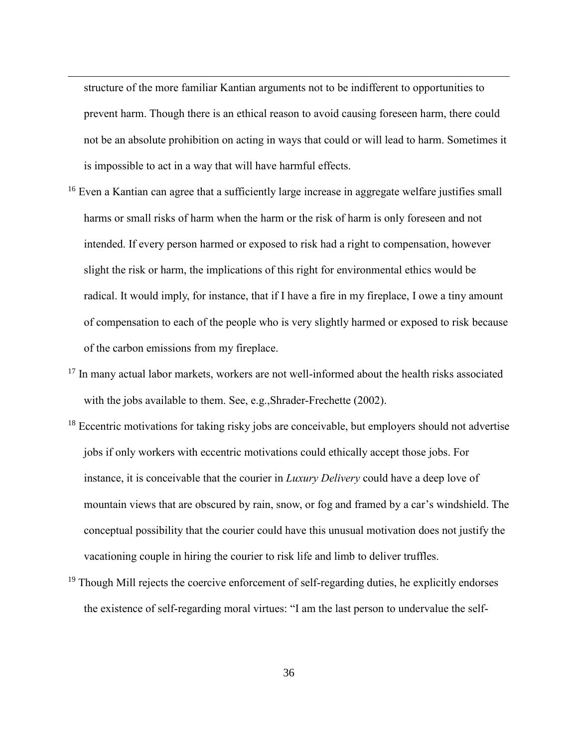structure of the more familiar Kantian arguments not to be indifferent to opportunities to prevent harm. Though there is an ethical reason to avoid causing foreseen harm, there could not be an absolute prohibition on acting in ways that could or will lead to harm. Sometimes it is impossible to act in a way that will have harmful effects.

- <sup>16</sup> Even a Kantian can agree that a sufficiently large increase in aggregate welfare justifies small harms or small risks of harm when the harm or the risk of harm is only foreseen and not intended. If every person harmed or exposed to risk had a right to compensation, however slight the risk or harm, the implications of this right for environmental ethics would be radical. It would imply, for instance, that if I have a fire in my fireplace, I owe a tiny amount of compensation to each of the people who is very slightly harmed or exposed to risk because of the carbon emissions from my fireplace.
- $17$  In many actual labor markets, workers are not well-informed about the health risks associated with the jobs available to them. See, e.g., Shrader-Frechette (2002).
- $18$  Eccentric motivations for taking risky jobs are conceivable, but employers should not advertise jobs if only workers with eccentric motivations could ethically accept those jobs. For instance, it is conceivable that the courier in *Luxury Delivery* could have a deep love of mountain views that are obscured by rain, snow, or fog and framed by a car's windshield. The conceptual possibility that the courier could have this unusual motivation does not justify the vacationing couple in hiring the courier to risk life and limb to deliver truffles.
- <sup>19</sup> Though Mill rejects the coercive enforcement of self-regarding duties, he explicitly endorses the existence of self-regarding moral virtues: "I am the last person to undervalue the self-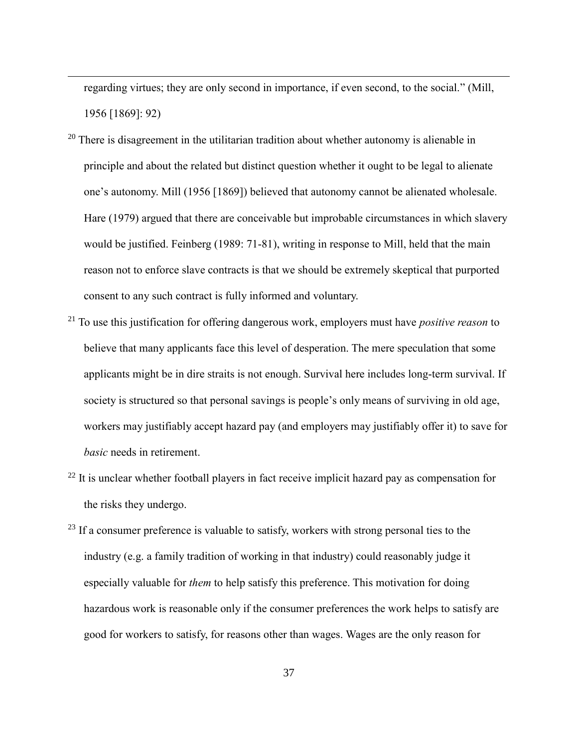regarding virtues; they are only second in importance, if even second, to the social." (Mill, 1956 [1869]: 92)

- $20$  There is disagreement in the utilitarian tradition about whether autonomy is alienable in principle and about the related but distinct question whether it ought to be legal to alienate one's autonomy. Mill (1956 [1869]) believed that autonomy cannot be alienated wholesale. Hare (1979) argued that there are conceivable but improbable circumstances in which slavery would be justified. Feinberg (1989: 71-81), writing in response to Mill, held that the main reason not to enforce slave contracts is that we should be extremely skeptical that purported consent to any such contract is fully informed and voluntary.
- <sup>21</sup> To use this justification for offering dangerous work, employers must have *positive reason* to believe that many applicants face this level of desperation. The mere speculation that some applicants might be in dire straits is not enough. Survival here includes long-term survival. If society is structured so that personal savings is people's only means of surviving in old age, workers may justifiably accept hazard pay (and employers may justifiably offer it) to save for *basic* needs in retirement.
- $22$  It is unclear whether football players in fact receive implicit hazard pay as compensation for the risks they undergo.
- $23$  If a consumer preference is valuable to satisfy, workers with strong personal ties to the industry (e.g. a family tradition of working in that industry) could reasonably judge it especially valuable for *them* to help satisfy this preference. This motivation for doing hazardous work is reasonable only if the consumer preferences the work helps to satisfy are good for workers to satisfy, for reasons other than wages. Wages are the only reason for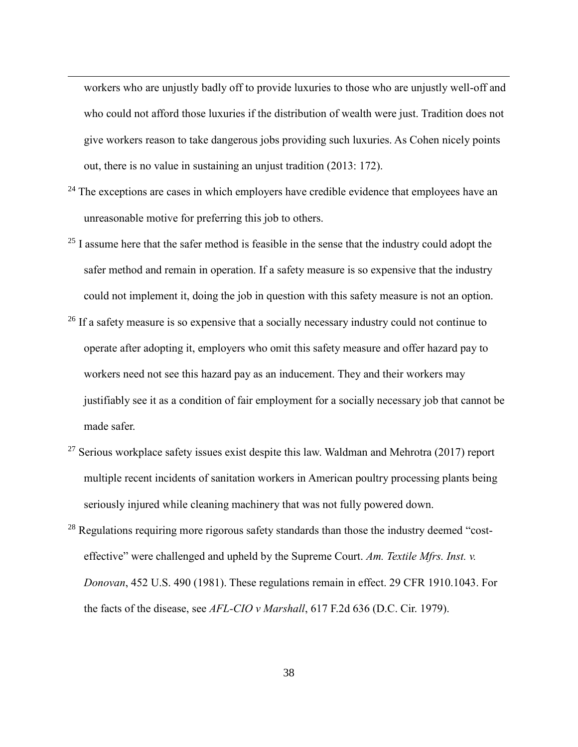workers who are unjustly badly off to provide luxuries to those who are unjustly well-off and who could not afford those luxuries if the distribution of wealth were just. Tradition does not give workers reason to take dangerous jobs providing such luxuries. As Cohen nicely points out, there is no value in sustaining an unjust tradition (2013: 172).

- $24$  The exceptions are cases in which employers have credible evidence that employees have an unreasonable motive for preferring this job to others.
- $25$  I assume here that the safer method is feasible in the sense that the industry could adopt the safer method and remain in operation. If a safety measure is so expensive that the industry could not implement it, doing the job in question with this safety measure is not an option.
- <sup>26</sup> If a safety measure is so expensive that a socially necessary industry could not continue to operate after adopting it, employers who omit this safety measure and offer hazard pay to workers need not see this hazard pay as an inducement. They and their workers may justifiably see it as a condition of fair employment for a socially necessary job that cannot be made safer.
- <sup>27</sup> Serious workplace safety issues exist despite this law. Waldman and Mehrotra (2017) report multiple recent incidents of sanitation workers in American poultry processing plants being seriously injured while cleaning machinery that was not fully powered down.
- $28$  Regulations requiring more rigorous safety standards than those the industry deemed "costeffective" were challenged and upheld by the Supreme Court. *Am. Textile Mfrs. Inst. v. Donovan*, 452 U.S. 490 (1981). These regulations remain in effect. 29 CFR 1910.1043. For the facts of the disease, see *AFL-CIO v Marshall*, 617 F.2d 636 (D.C. Cir. 1979).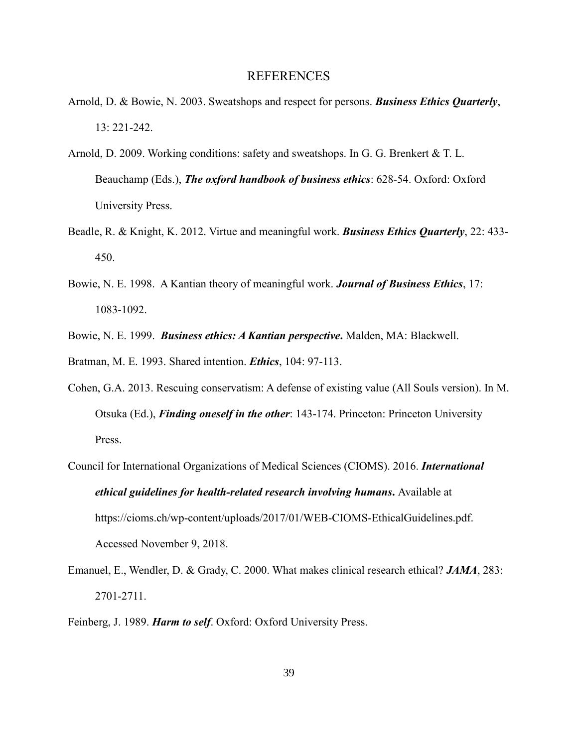#### **REFERENCES**

- Arnold, D. & Bowie, N. 2003. Sweatshops and respect for persons. *Business Ethics Quarterly*, 13: 221-242.
- Arnold, D. 2009. Working conditions: safety and sweatshops. In G. G. Brenkert & T. L. Beauchamp (Eds.), *The oxford handbook of business ethics*: 628-54. Oxford: Oxford University Press.
- Beadle, R. & Knight, K. 2012. Virtue and meaningful work. *Business Ethics Quarterly*, 22: 433- 450.
- Bowie, N. E. 1998. A Kantian theory of meaningful work. *Journal of Business Ethics*, 17: 1083-1092.
- Bowie, N. E. 1999. *Business ethics: A Kantian perspective***.** Malden, MA: Blackwell.

Bratman, M. E. 1993. Shared intention. *Ethics*, 104: 97-113.

- Cohen, G.A. 2013. Rescuing conservatism: A defense of existing value (All Souls version). In M. Otsuka (Ed.), *Finding oneself in the other*: 143-174. Princeton: Princeton University Press.
- Council for International Organizations of Medical Sciences (CIOMS). 2016. *International ethical guidelines for health-related research involving humans***.** Available at [https://cioms.ch/wp-content/uploads/2017/01/WEB-CIOMS-EthicalGuidelines.pdf.](https://cioms.ch/wp-content/uploads/2017/01/WEB-CIOMS-EthicalGuidelines.pdf) Accessed November 9, 2018.
- Emanuel, E., Wendler, D. & Grady, C. 2000. What makes clinical research ethical? *JAMA*, 283: 2701-2711.
- Feinberg, J. 1989. *Harm to self*. Oxford: Oxford University Press.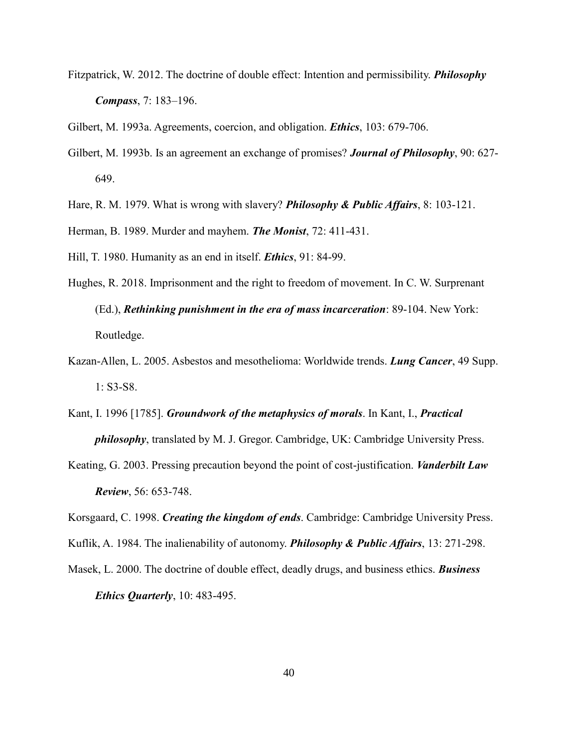- Fitzpatrick, W. 2012. The doctrine of double effect: Intention and permissibility. *Philosophy Compass*, 7: 183–196.
- Gilbert, M. 1993a. Agreements, coercion, and obligation. *Ethics*, 103: 679-706.
- Gilbert, M. 1993b. Is an agreement an exchange of promises? *Journal of Philosophy*, 90: 627- 649.
- Hare, R. M. 1979. What is wrong with slavery? *Philosophy & Public Affairs*, 8: 103-121.
- Herman, B. 1989. Murder and mayhem. *The Monist*, 72: 411-431.
- Hill, T. 1980. Humanity as an end in itself. *Ethics*, 91: 84-99.
- Hughes, R. 2018. Imprisonment and the right to freedom of movement. In C. W. Surprenant (Ed.), *Rethinking punishment in the era of mass incarceration*: 89-104. New York: Routledge.
- Kazan-Allen, L. 2005. Asbestos and mesothelioma: Worldwide trends. *Lung Cancer*, 49 Supp. 1: S3-S8.
- Kant, I. 1996 [1785]. *Groundwork of the metaphysics of morals*. In Kant, I., *Practical philosophy*, translated by M. J. Gregor. Cambridge, UK: Cambridge University Press.
- Keating, G. 2003. Pressing precaution beyond the point of cost-justification. *Vanderbilt Law Review*, 56: 653-748.
- Korsgaard, C. 1998. *Creating the kingdom of ends*. Cambridge: Cambridge University Press.
- Kuflik, A. 1984. The inalienability of autonomy. *Philosophy & Public Affairs*, 13: 271-298.
- Masek, L. 2000. The doctrine of double effect, deadly drugs, and business ethics. *Business Ethics Quarterly*, 10: 483-495.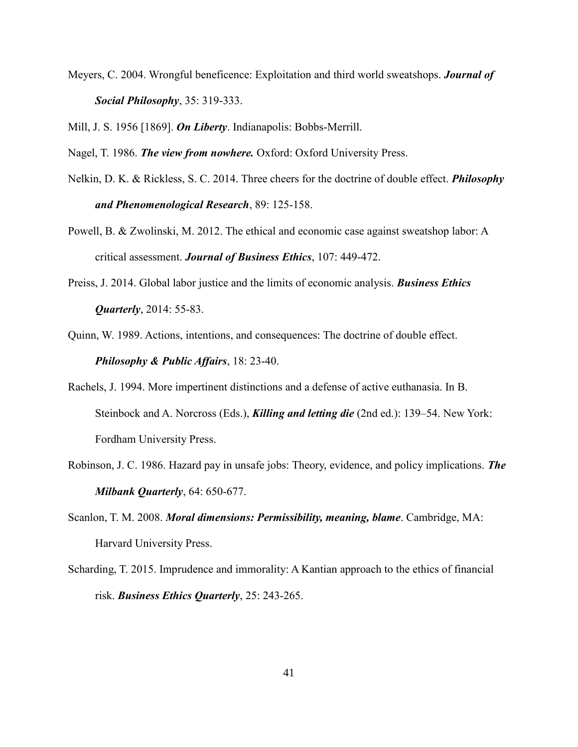Meyers, C. 2004. Wrongful beneficence: Exploitation and third world sweatshops. *Journal of Social Philosophy*, 35: 319-333.

Mill, J. S. 1956 [1869]. *On Liberty*. Indianapolis: Bobbs-Merrill.

Nagel, T. 1986. *The view from nowhere.* Oxford: Oxford University Press.

- Nelkin, D. K. & Rickless, S. C. 2014. Three cheers for the doctrine of double effect. *Philosophy and Phenomenological Research*, 89: 125-158.
- Powell, B. & Zwolinski, M. 2012. The ethical and economic case against sweatshop labor: A critical assessment. *Journal of Business Ethics*, 107: 449-472.
- Preiss, J. 2014. Global labor justice and the limits of economic analysis. *Business Ethics Quarterly*, 2014: 55-83.
- Quinn, W. 1989. Actions, intentions, and consequences: The doctrine of double effect. *Philosophy & Public Affairs*, 18: 23-40.
- Rachels, J. 1994. More impertinent distinctions and a defense of active euthanasia. In B. Steinbock and A. Norcross (Eds.), *Killing and letting die* (2nd ed.): 139–54. New York: Fordham University Press.
- Robinson, J. C. 1986. Hazard pay in unsafe jobs: Theory, evidence, and policy implications. *The Milbank Quarterly*, 64: 650-677.
- Scanlon, T. M. 2008. *Moral dimensions: Permissibility, meaning, blame*. Cambridge, MA: Harvard University Press.
- Scharding, T. 2015. Imprudence and immorality: A Kantian approach to the ethics of financial risk. *Business Ethics Quarterly*, 25: 243-265.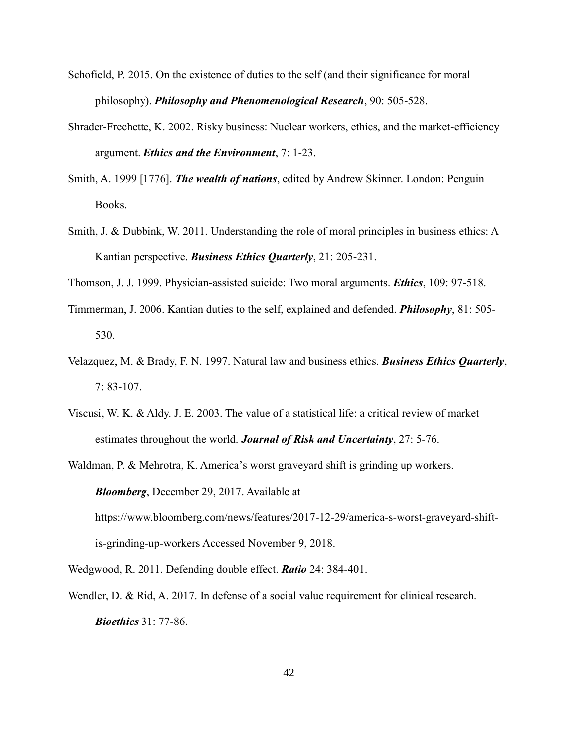- Schofield, P. 2015. On the existence of duties to the self (and their significance for moral philosophy). *Philosophy and Phenomenological Research*, 90: 505-528.
- Shrader-Frechette, K. 2002. Risky business: Nuclear workers, ethics, and the market-efficiency argument. *Ethics and the Environment*, 7: 1-23.
- Smith, A. 1999 [1776]. *The wealth of nations*, edited by Andrew Skinner. London: Penguin Books.
- Smith, J. & Dubbink, W. 2011. Understanding the role of moral principles in business ethics: A Kantian perspective. *Business Ethics Quarterly*, 21: 205-231.
- Thomson, J. J. 1999. Physician‐assisted suicide: Two moral arguments. *Ethics*, 109: 97-518.
- Timmerman, J. 2006. Kantian duties to the self, explained and defended. *Philosophy*, 81: 505- 530.
- Velazquez, M. & Brady, F. N. 1997. Natural law and business ethics. *Business Ethics Quarterly*, 7: 83-107.
- Viscusi, W. K. & Aldy. J. E. 2003. The value of a statistical life: a critical review of market estimates throughout the world. *Journal of Risk and Uncertainty*, 27: 5-76.
- Waldman, P. & Mehrotra, K. America's worst graveyard shift is grinding up workers. *Bloomberg*, December 29, 2017. Available at [https://www.bloomberg.com/news/features/2017-12-29/america-s-worst-graveyard-shift](https://www.bloomberg.com/news/features/2017-12-29/america-s-worst-graveyard-shift-is-grinding-up-workers)[is-grinding-up-workers](https://www.bloomberg.com/news/features/2017-12-29/america-s-worst-graveyard-shift-is-grinding-up-workers) Accessed November 9, 2018.
- Wedgwood, R. 2011. Defending double effect. *Ratio* 24: 384-401.
- Wendler, D. & Rid, A. 2017. In defense of a social value requirement for clinical research. *Bioethics* 31: 77-86.